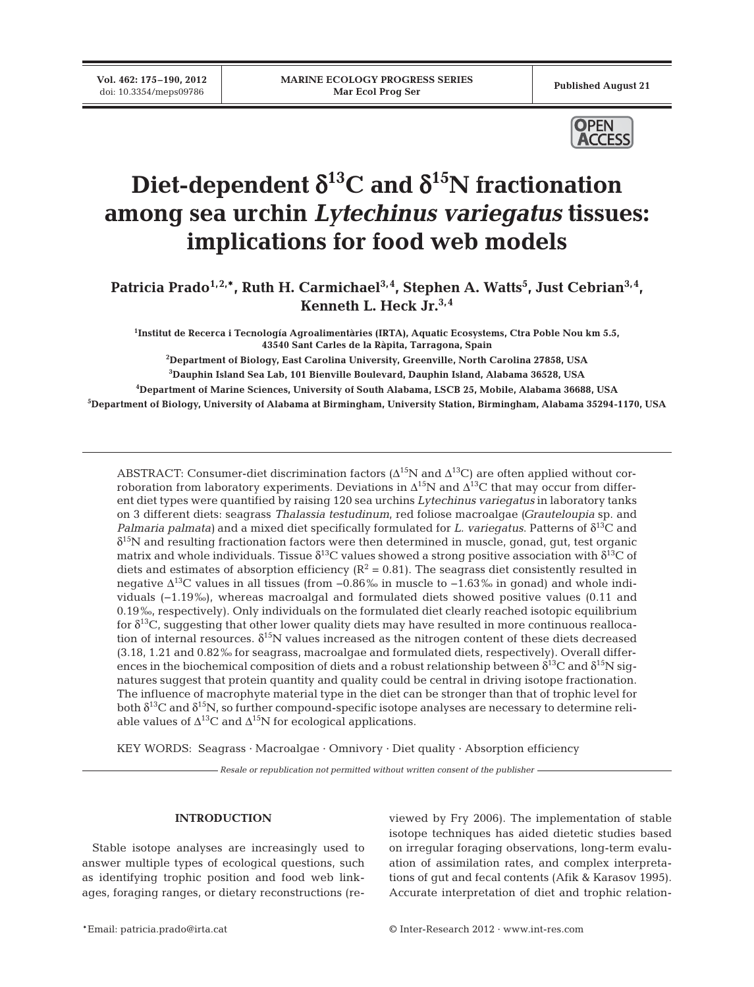**Vol. 462: 175–190, 2012**



# Diet-dependent  $\delta^{13}$ C and  $\delta^{15}$ N fractionation **among sea urchin** *Lytechinus variegatus* **tissues: implications for food web models**

Patricia Prado<sup>1,2,\*</sup>, Ruth H. Carmichael<sup>3,4</sup>, Stephen A. Watts<sup>5</sup>, Just Cebrian<sup>3,4</sup>, **Kenneth L. Heck Jr.3,4**

**1 Institut de Recerca i Tecnología Agroalimentàries (IRTA), Aquatic Ecosystems, Ctra Poble Nou km 5.5, 43540 Sant Carles de la Ràpita, Tarragona, Spain**

**2 Department of Biology, East Carolina University, Greenville, North Carolina 27858, USA 3 Dauphin Island Sea Lab, 101 Bienville Boulevard, Dauphin Island, Alabama 36528, USA**

**4 Department of Marine Sciences, University of South Alabama, LSCB 25, Mobile, Alabama 36688, USA**

**5 Department of Biology, University of Alabama at Birmingham, University Station, Birmingham, Alabama 35294-1170, USA**

ABSTRACT: Consumer-diet discrimination factors ( $\Delta^{15}N$  and  $\Delta^{13}C$ ) are often applied without corroboration from laboratory experiments. Deviations in  $\Delta^{15}N$  and  $\Delta^{13}C$  that may occur from different diet types were quantified by raising 120 sea urchins *Lytechinus variegatus* in laboratory tanks on 3 different diets: seagrass *Thalassia testudinum*, red foliose macroalgae *(Grauteloupia* sp. and *Palmaria palmata)* and a mixed diet specifically formulated for *L. variegatus*. Patterns of δ13C and  $\delta^{15}$ N and resulting fractionation factors were then determined in muscle, gonad, gut, test organic matrix and whole individuals. Tissue  $\delta^{13}C$  values showed a strong positive association with  $\delta^{13}C$  of diets and estimates of absorption efficiency ( $R^2 = 0.81$ ). The seagrass diet consistently resulted in negative  $\Delta^{13}$ C values in all tissues (from -0.86‰ in muscle to -1.63‰ in gonad) and whole individuals (−1.19‰), whereas macroalgal and formulated diets showed positive values (0.11 and 0.19‰, respectively). Only individuals on the formulated diet clearly reached isotopic equilibrium for  $\delta^{13}C$ , suggesting that other lower quality diets may have resulted in more continuous reallocation of internal resources.  $\delta^{15}N$  values increased as the nitrogen content of these diets decreased (3.18, 1.21 and 0.82‰ for seagrass, macroalgae and formulated diets, respectively). Overall differences in the biochemical composition of diets and a robust relationship between  $\delta^{13}C$  and  $\delta^{15}N$  signatures suggest that protein quantity and quality could be central in driving isotope fractionation. The influence of macrophyte material type in the diet can be stronger than that of trophic level for both  $\delta^{13}C$  and  $\delta^{15}N$ , so further compound-specific isotope analyses are necessary to determine reliable values of  $\Delta^{13}C$  and  $\Delta^{15}N$  for ecological applications.

KEY WORDS: Seagrass · Macroalgae · Omnivory · Diet quality · Absorption efficiency

*Resale or republication not permitted without written consent of the publisher*

# **INTRODUCTION**

Stable isotope analyses are increasingly used to answer multiple types of ecological questions, such as identifying trophic position and food web linkages, foraging ranges, or dietary reconstructions (re -

viewed by Fry 2006). The implementation of stable isotope techniques has aided dietetic studies based on irregular foraging observations, long-term evaluation of assimilation rates, and complex interpretations of gut and fecal contents (Afik & Karasov 1995). Accurate interpretation of diet and trophic relation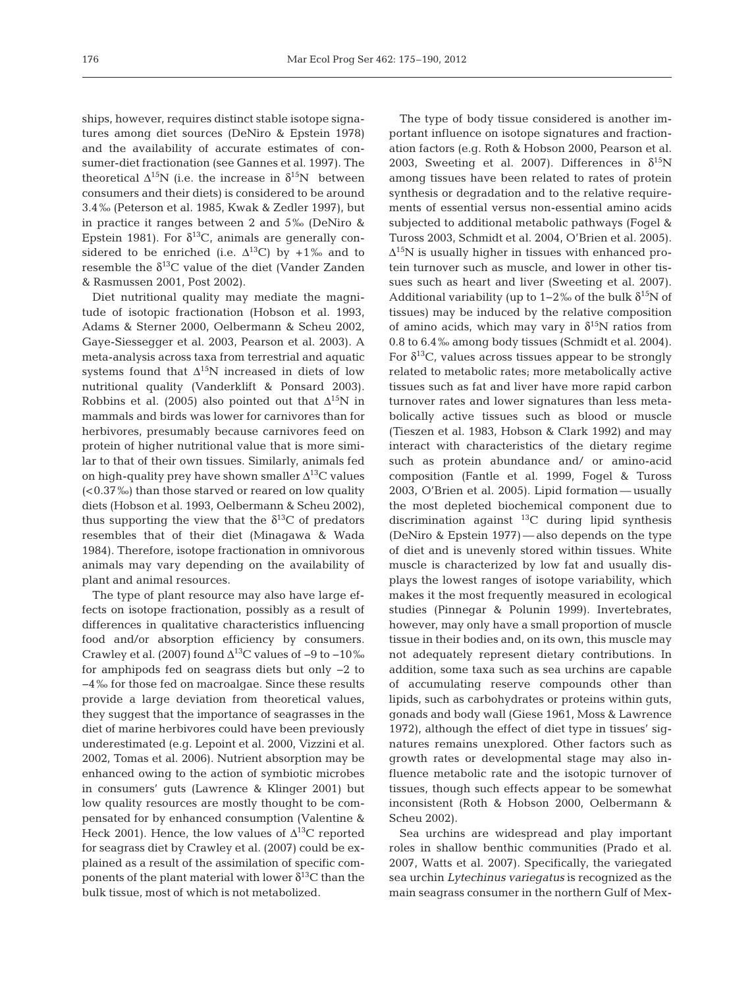ships, however, requires distinct stable isotope signatures among diet sources (DeNiro & Epstein 1978) and the availability of accurate estimates of consumer-diet fractionation (see Gannes et al. 1997). The theoretical  $\Delta^{15}N$  (i.e. the increase in  $\delta^{15}N$  between consumers and their diets) is considered to be around 3.4‰ (Peterson et al. 1985, Kwak & Zedler 1997), but in practice it ranges between 2 and 5‰ (DeNiro & Epstein 1981). For  $\delta^{13}C$ , animals are generally considered to be enriched (i.e.  $\Delta^{13}$ C) by +1‰ and to resemble the  $\delta^{13}$ C value of the diet (Vander Zanden & Rasmussen 2001, Post 2002).

Diet nutritional quality may mediate the magnitude of isotopic fractionation (Hobson et al. 1993, Adams & Sterner 2000, Oelbermann & Scheu 2002, Gaye-Siessegger et al. 2003, Pearson et al. 2003). A meta-analysis across taxa from terrestrial and aquatic systems found that  $\Delta^{15}N$  increased in diets of low nutritional quality (Vanderklift & Ponsard 2003). Robbins et al. (2005) also pointed out that  $\Delta^{15}N$  in mammals and birds was lower for carnivores than for herbivores, presumably because carnivores feed on protein of higher nutritional value that is more similar to that of their own tissues. Similarly, animals fed on high-quality prey have shown smaller  $\Delta^{13}C$  values (<0.37‰) than those starved or reared on low quality diets (Hobson et al. 1993, Oelbermann & Scheu 2002), thus supporting the view that the  $\delta^{13}$ C of predators resembles that of their diet (Minagawa & Wada 1984). Therefore, isotope fractionation in omnivorous animals may vary depending on the availability of plant and animal resources.

The type of plant resource may also have large effects on isotope fractionation, possibly as a result of differences in qualitative characteristics influencing food and/or absorption efficiency by consumers. Crawley et al. (2007) found  $\Delta^{13}$ C values of -9 to -10‰ for amphipods fed on seagrass diets but only −2 to −4‰ for those fed on macroalgae. Since these results provide a large deviation from theoretical values, they suggest that the importance of seagrasses in the diet of marine herbivores could have been previously underestimated (e.g. Lepoint et al. 2000, Vizzini et al. 2002, Tomas et al. 2006). Nutrient absorption may be enhanced owing to the action of symbiotic microbes in consumers' guts (Lawrence & Klinger 2001) but low quality resources are mostly thought to be compensated for by enhanced consumption (Valentine & Heck 2001). Hence, the low values of  $\Delta^{13}C$  reported for seagrass diet by Crawley et al. (2007) could be explained as a result of the assimilation of specific components of the plant material with lower  $\delta^{13}$ C than the bulk tissue, most of which is not metabolized.

The type of body tissue considered is another important influence on isotope signatures and fractionation factors (e.g. Roth & Hobson 2000, Pearson et al. 2003, Sweeting et al. 2007). Differences in  $\delta^{15}N$ among tissues have been related to rates of protein synthesis or degradation and to the relative requirements of essential versus non-essential amino acids subjected to additional metabolic pathways (Fogel & Tuross 2003, Schmidt et al. 2004, O'Brien et al. 2005).  $\Delta^{15}N$  is usually higher in tissues with enhanced protein turnover such as muscle, and lower in other tissues such as heart and liver (Sweeting et al. 2007). Additional variability (up to 1–2‰ of the bulk  $\delta^{15}N$  of tissues) may be induced by the relative composition of amino acids, which may vary in  $\delta^{15}N$  ratios from 0.8 to 6.4‰ among body tissues (Schmidt et al. 2004). For  $\delta^{13}$ C, values across tissues appear to be strongly related to metabolic rates; more metabolically active tissues such as fat and liver have more rapid carbon turnover rates and lower signatures than less metabolically active tissues such as blood or muscle (Tieszen et al. 1983, Hobson & Clark 1992) and may interact with characteristics of the dietary regime such as protein abundance and/ or amino-acid composition (Fantle et al. 1999, Fogel & Tuross 2003, O'Brien et al. 2005). Lipid formation — usually the most depleted biochemical component due to discrimination against  $^{13}$ C during lipid synthesis (DeNiro & Epstein 1977) — also depends on the type of diet and is unevenly stored within tissues. White muscle is characterized by low fat and usually displays the lowest ranges of isotope variability, which makes it the most frequently measured in ecological studies (Pinnegar & Polunin 1999). Invertebrates, however, may only have a small proportion of muscle tissue in their bodies and, on its own, this muscle may not adequately represent dietary contributions. In addition, some taxa such as sea urchins are capable of accumulating reserve compounds other than lipids, such as carbohydrates or proteins within guts, gonads and body wall (Giese 1961, Moss & Lawrence 1972), although the effect of diet type in tissues' signatures remains unexplored. Other factors such as growth rates or developmental stage may also in fluence metabolic rate and the isotopic turnover of tissues, though such effects appear to be somewhat inconsistent (Roth & Hobson 2000, Oelbermann & Scheu 2002).

Sea urchins are widespread and play important roles in shallow benthic communities (Prado et al. 2007, Watts et al. 2007). Specifically, the variegated sea urchin *Lytechinus variegatus* is recognized as the main seagrass consumer in the northern Gulf of Mex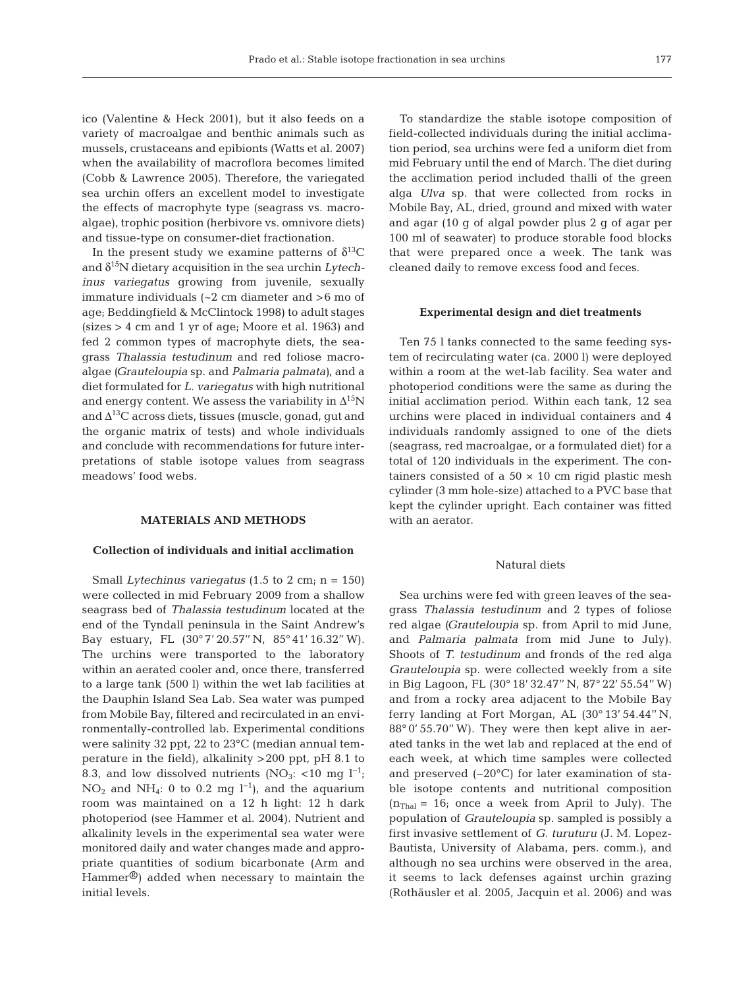ico (Valentine & Heck 2001), but it also feeds on a variety of macroalgae and benthic animals such as mussels, crustaceans and epibionts (Watts et al. 2007) when the availability of macroflora becomes limited (Cobb & Lawrence 2005). Therefore, the variegated sea urchin offers an excellent model to investigate the effects of macrophyte type (seagrass vs. macroalgae), trophic position (herbivore vs. omnivore diets) and tissue-type on consumer-diet fractionation.

In the present study we examine patterns of  $\delta^{13}C$ and δ15N dietary acquisition in the sea urchin *Lytechinus variegatus* growing from juvenile, sexually immature individuals (~2 cm diameter and >6 mo of age; Beddingfield & McClintock 1998) to adult stages (sizes > 4 cm and 1 yr of age; Moore et al. 1963) and fed 2 common types of macrophyte diets, the seagrass *Thalassia testudinum* and red foliose macroalgae *(Grauteloupia* sp. and *Palmaria palmata)*, and a diet formulated for *L. variegatus* with high nutritional and energy content. We assess the variability in  $\Delta^{15}N$ and  $\Delta^{13}$ C across diets, tissues (muscle, gonad, gut and the organic matrix of tests) and whole individuals and conclude with recommendations for future interpretations of stable isotope values from seagrass meadows' food webs.

## **MATERIALS AND METHODS**

#### **Collection of individuals and initial acclimation**

Small *Lytechinus variegatus* (1.5 to 2 cm; n = 150) were collected in mid February 2009 from a shallow seagrass bed of *Thalassia testudinum* located at the end of the Tyndall peninsula in the Saint Andrew's Bay estuary, FL (30° 7' 20.57'' N, 85° 41' 16.32'' W). The urchins were transported to the laboratory within an aerated cooler and, once there, transferred to a large tank (500 l) within the wet lab facilities at the Dauphin Island Sea Lab. Sea water was pumped from Mobile Bay, filtered and recirculated in an environmentally-controlled lab. Experimental conditions were salinity 32 ppt, 22 to 23°C (median annual temperature in the field), alkalinity >200 ppt, pH 8.1 to 8.3, and low dissolved nutrients (NO<sub>3</sub>: <10 mg l<sup>-1</sup>; NO<sub>2</sub> and NH<sub>4</sub>: 0 to 0.2 mg l<sup>-1</sup>), and the aquarium room was maintained on a 12 h light: 12 h dark photoperiod (see Hammer et al. 2004). Nutrient and alkalinity levels in the experimental sea water were monitored daily and water changes made and appropriate quantities of sodium bicarbonate (Arm and Hammer®) added when necessary to maintain the initial levels.

To standardize the stable isotope composition of field-collected individuals during the initial acclimation period, sea urchins were fed a uniform diet from mid February until the end of March. The diet during the acclimation period included thalli of the green alga *Ulva* sp. that were collected from rocks in Mobile Bay, AL, dried, ground and mixed with water and agar (10 g of algal powder plus 2 g of agar per 100 ml of seawater) to produce storable food blocks that were prepared once a week. The tank was cleaned daily to remove excess food and feces.

#### **Experimental design and diet treatments**

Ten 75 l tanks connected to the same feeding system of recirculating water (ca. 2000 l) were deployed within a room at the wet-lab facility. Sea water and photoperiod conditions were the same as during the initial acclimation period. Within each tank, 12 sea urchins were placed in individual containers and 4 individuals randomly assigned to one of the diets (seagrass, red macroalgae, or a formulated diet) for a total of 120 individuals in the experiment. The containers consisted of a  $50 \times 10$  cm rigid plastic mesh cylinder (3 mm hole-size) attached to a PVC base that kept the cylinder upright. Each container was fitted with an aerator.

#### Natural diets

Sea urchins were fed with green leaves of the seagrass *Thalassia testudinum* and 2 types of foliose red algae *(Grauteloupia* sp. from April to mid June, and *Palmaria palmata* from mid June to July). Shoots of *T. testudinum* and fronds of the red alga *Graute loupia* sp. were collected weekly from a site in Big Lagoon, FL (30° 18' 32.47'' N, 87° 22' 55.54'' W) and from a rocky area adjacent to the Mobile Bay ferry landing at Fort Morgan, AL (30° 13' 54.44'' N, 88° 0' 55.70'' W). They were then kept alive in aerated tanks in the wet lab and replaced at the end of each week, at which time samples were collected and preserved (−20°C) for later examination of stable isotope contents and nutritional composition  $(n<sub>Thal</sub> = 16$ ; once a week from April to July). The population of *Grauteloupia* sp. sampled is possibly a first invasive settlement of *G. turuturu* (J. M. Lopez-Bautista, University of Alabama, pers. comm.), and although no sea urchins were observed in the area, it seems to lack defenses against urchin grazing (Rothäusler et al. 2005, Jacquin et al. 2006) and was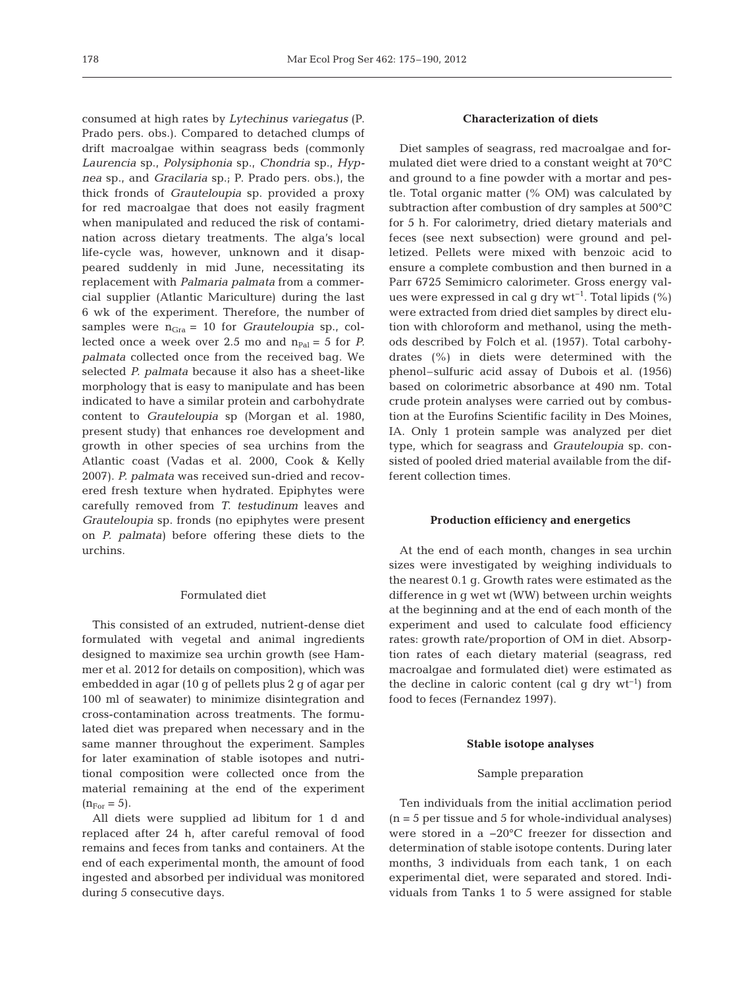consumed at high rates by *Lytechinus variegatus* (P. Prado pers. obs.). Compared to detached clumps of drift macroalgae within seagrass beds (commonly *Laurencia* sp., *Polysiphonia* sp., *Chondria* sp., *Hypnea* sp., and *Gracilaria* sp.; P. Prado pers. obs.), the thick fronds of *Grauteloupia* sp. provided a proxy for red macroalgae that does not easily fragment when manipulated and reduced the risk of contamination across dietary treatments. The alga's local life-cycle was, however, unknown and it disappeared suddenly in mid June, necessitating its replacement with *Palmaria palmata* from a commercial supplier (Atlantic Mariculture) during the last 6 wk of the experiment. Therefore, the number of samples were  $n_{Gra} = 10$  for *Grauteloupia* sp., collected once a week over 2.5 mo and  $n_{Pal} = 5$  for *P. palmata* collected once from the received bag. We selected *P. palmata* because it also has a sheet-like morphology that is easy to manipulate and has been indicated to have a similar protein and carbohydrate content to *Grauteloupia* sp (Morgan et al. 1980, present study) that enhances roe development and growth in other species of sea urchins from the Atlantic coast (Vadas et al. 2000, Cook & Kelly 2007). *P. palmata* was received sun-dried and recovered fresh texture when hydrated. Epiphytes were carefully removed from *T. testudinum* leaves and *Grauteloupia* sp. fronds (no epiphytes were present on *P. palmata)* before offering these diets to the urchins.

### Formulated diet

This consisted of an extruded, nutrient-dense diet formulated with vegetal and animal ingredients designed to maximize sea urchin growth (see Hammer et al. 2012 for details on composition), which was embedded in agar (10 g of pellets plus 2 g of agar per 100 ml of seawater) to minimize disintegration and cross-contamination across treatments. The formulated diet was prepared when necessary and in the same manner throughout the experiment. Samples for later examination of stable isotopes and nutritional composition were collected once from the material remaining at the end of the experiment  $(n_{\text{For}} = 5)$ .

All diets were supplied ad libitum for 1 d and replaced after 24 h, after careful removal of food remains and feces from tanks and containers. At the end of each experimental month, the amount of food ingested and absorbed per individual was monitored during 5 consecutive days.

## **Characterization of diets**

Diet samples of seagrass, red macroalgae and formulated diet were dried to a constant weight at 70°C and ground to a fine powder with a mortar and pestle. Total organic matter (% OM) was calculated by subtraction after combustion of dry samples at 500°C for 5 h. For calorimetry, dried dietary materials and feces (see next subsection) were ground and pelletized. Pellets were mixed with benzoic acid to ensure a complete combustion and then burned in a Parr 6725 Semimicro calorimeter. Gross energy values were expressed in cal g dry wt<sup>-1</sup>. Total lipids  $(\% )$ were extracted from dried diet samples by direct elution with chloroform and methanol, using the methods described by Folch et al. (1957). Total carbohydrates (%) in diets were determined with the phenol–sulfuric acid assay of Dubois et al. (1956) based on colorimetric absorbance at 490 nm. Total crude protein analyses were carried out by combustion at the Eurofins Scientific facility in Des Moines, IA. Only 1 protein sample was analyzed per diet type, which for seagrass and *Grauteloupia* sp. consisted of pooled dried material available from the different collection times.

## **Production efficiency and energetics**

At the end of each month, changes in sea urchin sizes were investigated by weighing individuals to the nearest 0.1 g. Growth rates were estimated as the difference in g wet wt (WW) between urchin weights at the beginning and at the end of each month of the experiment and used to calculate food efficiency rates: growth rate/proportion of OM in diet. Absorption rates of each dietary material (seagrass, red macroalgae and formulated diet) were estimated as the decline in caloric content (cal q dry wt<sup>-1</sup>) from food to feces (Fernandez 1997).

#### **Stable isotope analyses**

## Sample preparation

Ten individuals from the initial acclimation period  $(n = 5$  per tissue and  $5$  for whole-individual analyses) were stored in a −20°C freezer for dissection and determination of stable isotope contents. During later months, 3 individuals from each tank, 1 on each experimental diet, were separated and stored. Individuals from Tanks 1 to 5 were assigned for stable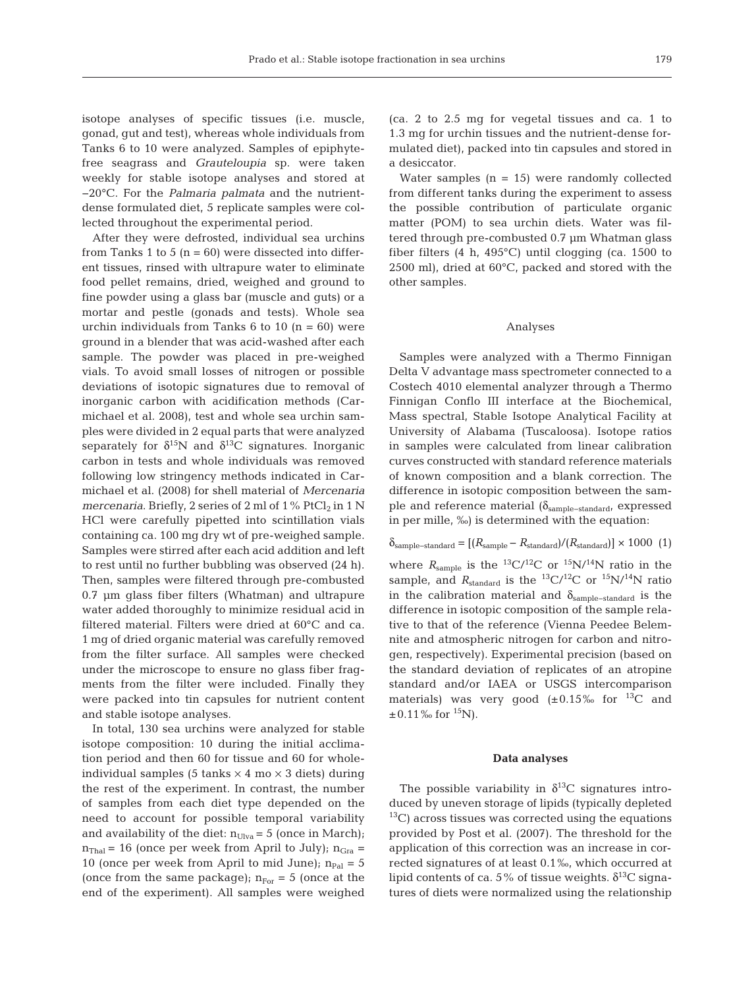isotope analyses of specific tissues (i.e. muscle, gonad, gut and test), whereas whole individuals from Tanks 6 to 10 were analyzed. Samples of epiphytefree seagrass and *Grauteloupia* sp. were taken weekly for stable isotope analyses and stored at −20°C. For the *Palmaria palmata* and the nutrientdense formulated diet, 5 replicate samples were collected throughout the experimental period.

After they were defrosted, individual sea urchins from Tanks 1 to 5  $(n = 60)$  were dissected into different tissues, rinsed with ultrapure water to eliminate food pellet remains, dried, weighed and ground to fine powder using a glass bar (muscle and guts) or a mortar and pestle (gonads and tests). Whole sea urchin individuals from Tanks  $6$  to  $10$  (n =  $60$ ) were ground in a blender that was acid-washed after each sample. The powder was placed in pre-weighed vials. To avoid small losses of nitrogen or possible deviations of isotopic signatures due to removal of inorganic carbon with acidification methods (Carmichael et al. 2008), test and whole sea urchin samples were divided in 2 equal parts that were analyzed separately for  $\delta^{15}N$  and  $\delta^{13}C$  signatures. Inorganic carbon in tests and whole individuals was removed following low stringency methods indicated in Carmichael et al. (2008) for shell material of *Mercenaria mercenaria*. Briefly, 2 series of 2 ml of  $1\%$  PtCl<sub>2</sub> in  $1\text{ N}$ HCl were carefully pipetted into scintillation vials containing ca. 100 mg dry wt of pre-weighed sample. Samples were stirred after each acid addition and left to rest until no further bubbling was observed (24 h). Then, samples were filtered through pre-combusted 0.7 µm glass fiber filters (Whatman) and ultrapure water added thoroughly to minimize residual acid in filtered material. Filters were dried at 60°C and ca. 1 mg of dried organic material was carefully removed from the filter surface. All samples were checked under the microscope to ensure no glass fiber fragments from the filter were included. Finally they were packed into tin capsules for nutrient content and stable isotope analyses.

In total, 130 sea urchins were analyzed for stable isotope composition: 10 during the initial acclimation period and then 60 for tissue and 60 for wholeindividual samples (5 tanks  $\times$  4 mo  $\times$  3 diets) during the rest of the experiment. In contrast, the number of samples from each diet type depended on the need to account for possible temporal variability and availability of the diet:  $n_{U|va} = 5$  (once in March);  $n<sub>Thal</sub> = 16$  (once per week from April to July);  $n<sub>Gra</sub> =$ 10 (once per week from April to mid June);  $n_{Pal} = 5$ (once from the same package);  $n_{For} = 5$  (once at the end of the experiment). All samples were weighed

(ca. 2 to 2.5 mg for vegetal tissues and ca. 1 to 1.3 mg for urchin tissues and the nutrient-dense formulated diet), packed into tin capsules and stored in a desiccator.

Water samples  $(n = 15)$  were randomly collected from different tanks during the experiment to assess the possible contribution of particulate organic matter (POM) to sea urchin diets. Water was filtered through pre-combusted 0.7 µm Whatman glass fiber filters (4 h, 495°C) until clogging (ca. 1500 to 2500 ml), dried at 60°C, packed and stored with the other samples.

#### Analyses

Samples were analyzed with a Thermo Finnigan Delta V advantage mass spectrometer connected to a Costech 4010 elemental analyzer through a Thermo Finnigan Conflo III interface at the Biochemical, Mass spectral, Stable Isotope Analytical Facility at University of Alabama (Tuscaloosa). Isotope ratios in samples were calculated from linear calibration curves constructed with standard reference materials of known composition and a blank correction. The difference in isotopic composition between the sample and reference material (δ<sub>sample-standard</sub>, expressed in per mille, ‰) is determined with the equation:

$$
\delta_{\text{sample-standard}} = [(R_{\text{sample}} - R_{\text{standard}})/(R_{\text{standard}})] \times 1000 \text{ (1)}
$$

where  $R_{\text{sample}}$  is the <sup>13</sup>C/<sup>12</sup>C or <sup>15</sup>N/<sup>14</sup>N ratio in the sample, and  $R_{\text{standard}}$  is the <sup>13</sup>C/<sup>12</sup>C or <sup>15</sup>N/<sup>14</sup>N ratio in the calibration material and  $\delta_{\text{sample-standard}}$  is the difference in isotopic composition of the sample relative to that of the reference (Vienna Peedee Belemnite and atmospheric nitrogen for carbon and nitrogen, respectively). Experimental precision (based on the standard deviation of replicates of an atropine standard and/or IAEA or USGS intercomparison materials) was very good  $(\pm 0.15\% \text{ for }^{13}C \text{ and }$  $\pm 0.11\%$  for <sup>15</sup>N).

#### **Data analyses**

The possible variability in  $\delta^{13}$ C signatures introduced by uneven storage of lipids (typically depleted  $^{13}$ C) across tissues was corrected using the equations provided by Post et al. (2007). The threshold for the application of this correction was an increase in corrected signatures of at least 0.1‰, which occurred at lipid contents of ca. 5% of tissue weights.  $\delta^{13}C$  signatures of diets were normalized using the relationship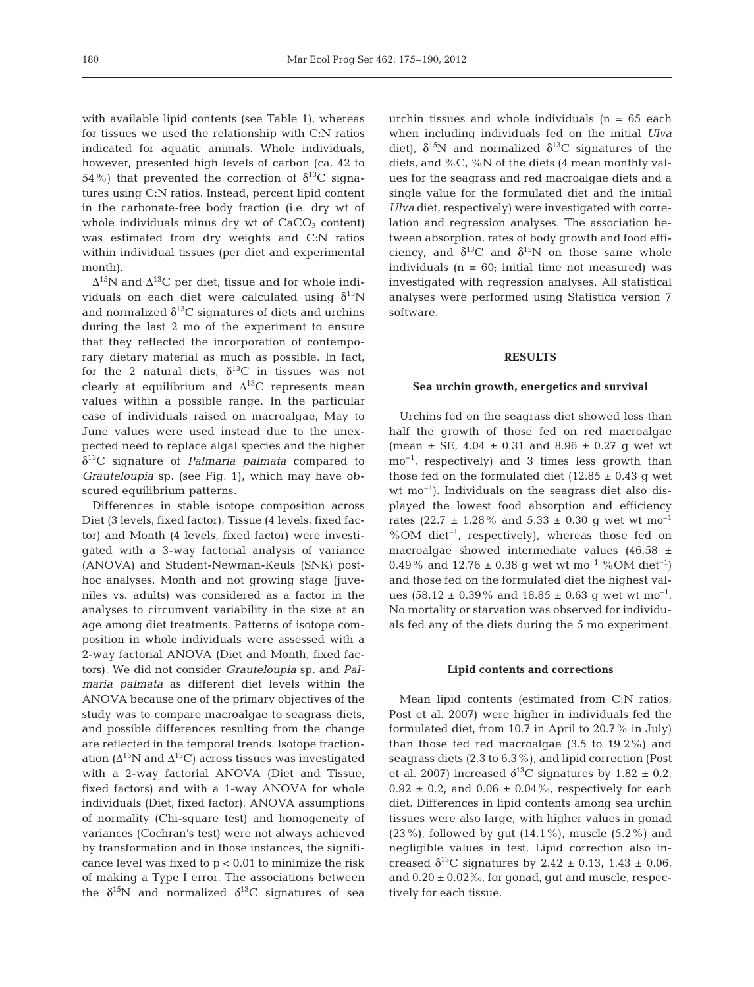with available lipid contents (see Table 1), whereas for tissues we used the relationship with C:N ratios indicated for aquatic animals. Whole individuals, however, presented high levels of carbon (ca. 42 to 54%) that prevented the correction of  $δ^{13}C$  signatures using C:N ratios. Instead, percent lipid content in the carbonate-free body fraction (i.e. dry wt of whole individuals minus dry wt of  $CaCO<sub>3</sub>$  content) was estimated from dry weights and C:N ratios within individual tissues (per diet and experimental month).

 $\Delta^{15}$ N and  $\Delta^{13}$ C per diet, tissue and for whole individuals on each diet were calculated using  $\delta^{15}N$ and normalized  $\delta^{13}$ C signatures of diets and urchins during the last 2 mo of the experiment to ensure that they reflected the incorporation of contemporary dietary material as much as possible. In fact, for the 2 natural diets,  $\delta^{13}$ C in tissues was not clearly at equilibrium and  $\Delta^{13}$ C represents mean values within a possible range. In the particular case of individuals raised on macroalgae, May to June values were used instead due to the unexpected need to replace algal species and the higher δ13C signature of *Palmaria palmata* compared to *Grauteloupia* sp. (see Fig. 1), which may have obscured equilibrium patterns.

Differences in stable isotope composition across Diet (3 levels, fixed factor), Tissue (4 levels, fixed factor) and Month (4 levels, fixed factor) were investigated with a 3-way factorial analysis of variance (ANOVA) and Student-Newman-Keuls (SNK) posthoc analyses. Month and not growing stage (juveniles vs. adults) was considered as a factor in the analyses to circumvent variability in the size at an age among diet treatments. Patterns of isotope composition in whole individuals were assessed with a 2-way factorial ANOVA (Diet and Month, fixed factors). We did not consider *Grauteloupia* sp. and *Palmaria palmata* as different diet levels within the ANOVA because one of the primary objectives of the study was to compare macroalgae to seagrass diets, and possible differences resulting from the change are reflected in the temporal trends. Isotope fractionation ( $\Delta^{15}N$  and  $\Delta^{13}C$ ) across tissues was investigated with a 2-way factorial ANOVA (Diet and Tissue, fixed factors) and with a 1-way ANOVA for whole individuals (Diet, fixed factor). ANOVA assumptions of normality (Chi-square test) and homogeneity of variances (Cochran's test) were not always achieved by transformation and in those instances, the significance level was fixed to  $p < 0.01$  to minimize the risk of making a Type I error. The associations between the  $\delta^{15}$ N and normalized  $\delta^{13}$ C signatures of sea

urchin tissues and whole individuals  $(n = 65$  each when including individuals fed on the initial *Ulva* diet),  $\delta^{15}N$  and normalized  $\delta^{13}C$  signatures of the diets, and %C, %N of the diets (4 mean monthly values for the seagrass and red macroalgae diets and a single value for the formulated diet and the initial *Ulva* diet, respectively) were investigated with correlation and regression analyses. The association between absorption, rates of body growth and food efficiency, and  $\delta^{13}$ C and  $\delta^{15}$ N on those same whole individuals  $(n = 60;$  initial time not measured) was investigated with regression analyses. All statistical analyses were performed using Statistica version 7 software.

#### **RESULTS**

#### **Sea urchin growth, energetics and survival**

Urchins fed on the seagrass diet showed less than half the growth of those fed on red macroalgae (mean  $\pm$  SE, 4.04  $\pm$  0.31 and 8.96  $\pm$  0.27 g wet wt mo<sup>-1</sup>, respectively) and 3 times less growth than those fed on the formulated diet (12.85  $\pm$  0.43 g wet wt mo<sup>-1</sup>). Individuals on the seagrass diet also displayed the lowest food absorption and efficiency rates (22.7  $\pm$  1.28% and 5.33  $\pm$  0.30 g wet wt mo<sup>-1</sup> %OM diet<sup>-1</sup>, respectively), whereas those fed on macro algae showed intermediate values (46.58  $\pm$ 0.49% and 12.76 ± 0.38 g wet wt mo<sup>-1</sup> %OM diet<sup>-1</sup>) and those fed on the formulated diet the highest values (58.12  $\pm$  0.39% and 18.85  $\pm$  0.63 g wet wt mo<sup>-1</sup>. No mortality or starvation was observed for individuals fed any of the diets during the 5 mo experiment.

#### **Lipid contents and corrections**

Mean lipid contents (estimated from C:N ratios; Post et al. 2007) were higher in individuals fed the formulated diet, from 10.7 in April to 20.7% in July) than those fed red macroalgae (3.5 to 19.2%) and seagrass diets (2.3 to 6.3%), and lipid correction (Post et al. 2007) increased  $\delta^{13}$ C signatures by 1.82  $\pm$  0.2,  $0.92 \pm 0.2$ , and  $0.06 \pm 0.04\%$ , respectively for each diet. Differences in lipid contents among sea urchin tissues were also large, with higher values in gonad (23%), followed by gut  $(14.1\%)$ , muscle  $(5.2\%)$  and negligible values in test. Lipid correction also in creased δ<sup>13</sup>C signatures by 2.42  $\pm$  0.13, 1.43  $\pm$  0.06, and  $0.20 \pm 0.02$ ‰, for gonad, gut and muscle, respectively for each tissue.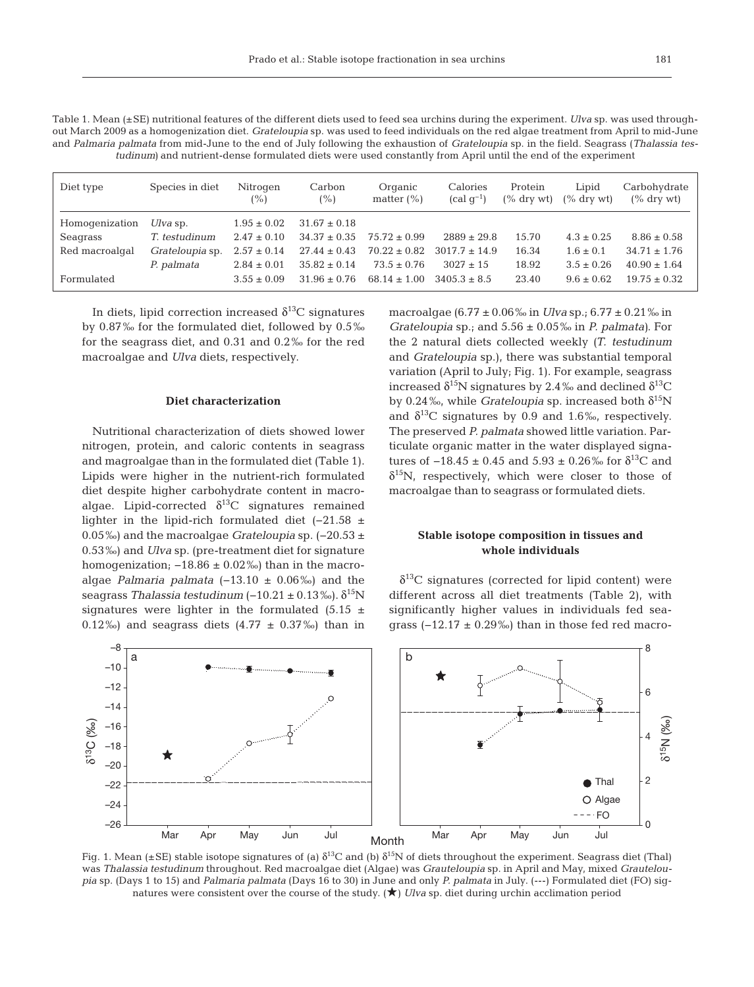Table 1. Mean (±SE) nutritional features of the different diets used to feed sea urchins during the experiment. *Ulva* sp. was used throughout March 2009 as a homogenization diet. *Grateloupia* sp. was used to feed individuals on the red algae treatment from April to mid-June and *Palmaria palmata* from mid-June to the end of July following the exhaustion of *Grateloupia* sp. in the field. Seagrass (*Thalassia testudinum)* and nutrient-dense formulated diets were used constantly from April until the end of the experiment

| Diet type      | Species in diet | Nitrogen<br>$(\%)$ | Carbon<br>(%)    | Organic<br>matter $(\% )$ | Calories<br>$\left(\text{cal}\; \sigma^{-1}\right)$ | Protein<br>$\frac{1}{6}$ dry wt) | Lipid<br>$\frac{6}{6}$ dry wt) | Carbohydrate<br>$\frac{6}{6}$ dry wt) |
|----------------|-----------------|--------------------|------------------|---------------------------|-----------------------------------------------------|----------------------------------|--------------------------------|---------------------------------------|
| Homogenization | $Ulva$ sp.      | $1.95 \pm 0.02$    | $31.67 \pm 0.18$ |                           |                                                     |                                  |                                |                                       |
| Seagrass       | T. testudinum   | $2.47 \pm 0.10$    | $34.37 \pm 0.35$ | $75.72 + 0.99$            | $2889 \pm 29.8$                                     | 15.70                            | $4.3 \pm 0.25$                 | $8.86 \pm 0.58$                       |
| Red macroalgal | Grateloupia sp. | $2.57 \pm 0.14$    | $27.44 \pm 0.43$ | $70.22 \pm 0.82$          | $3017.7 \pm 14.9$                                   | 16.34                            | $1.6 \pm 0.1$                  | $34.71 \pm 1.76$                      |
|                | P. palmata      | $2.84 \pm 0.01$    | $35.82 \pm 0.14$ | $73.5 \pm 0.76$           | $3027 \pm 15$                                       | 18.92                            | $3.5 \pm 0.26$                 | $40.90 \pm 1.64$                      |
| Formulated     |                 | $3.55 \pm 0.09$    | $31.96 + 0.76$   | $68.14 + 1.00$            | $3405.3 + 8.5$                                      | 23.40                            | $9.6 + 0.62$                   | $19.75 + 0.32$                        |

In diets, lipid correction increased  $\delta^{13}$ C signatures by 0.87‰ for the formulated diet, followed by 0.5‰ for the seagrass diet, and 0.31 and 0.2‰ for the red macroalgae and *Ulva* diets, respectively.

# **Diet characterization**

Nutritional characterization of diets showed lower nitrogen, protein, and caloric contents in seagrass and magroalgae than in the formulated diet (Table 1). Lipids were higher in the nutrient-rich formulated diet despite higher carbohydrate content in macroalgae. Lipid-corrected  $\delta^{13}$ C signatures remained lighter in the lipid-rich formulated diet (−21.58 ± 0.05‰) and the macroalgae *Grateloupia* sp. (-20.53 ± 0.53‰) and *Ulva* sp. (pre-treatment diet for signature homogenization;  $-18.86 \pm 0.02\%$ ) than in the macroalgae *Palmaria palmata* (−13.10 ± 0.06‰) and the seagrass *Thalassia testudinum* (−10.21 ± 0.13‰).  $δ<sup>15</sup>N$ signatures were lighter in the formulated (5.15  $\pm$ 0.12‰) and seagrass diets  $(4.77 \pm 0.37\%)$  than in macroalgae (6.77 ± 0.06‰ in *Ulva* sp.; 6.77 ± 0.21‰ in *Gra teloupia* sp.; and 5.56 ± 0.05‰ in *P. palmata)*. For the 2 natural diets collected weekly *(T. testudinum* and *Grateloupia* sp.), there was substantial temporal variation (April to July; Fig. 1). For example, seagrass increased  $\delta^{15}N$  signatures by 2.4‰ and declined  $\delta^{13}C$ by 0.24‰, while *Grateloupia* sp. increased both  $\delta^{15}N$ and  $\delta^{13}$ C signatures by 0.9 and 1.6‰, respectively. The preserved *P. palmata* showed little variation. Particulate organic matter in the water displayed signatures of  $-18.45 \pm 0.45$  and  $5.93 \pm 0.26$ ‰ for δ<sup>13</sup>C and  $\delta^{15}$ N, respectively, which were closer to those of macroalgae than to seagrass or formulated diets.

# **Stable isotope composition in tissues and whole individuals**

 $\delta^{13}$ C signatures (corrected for lipid content) were different across all diet treatments (Table 2), with significantly higher values in individuals fed seagrass  $(-12.17 \pm 0.29\%)$  than in those fed red macro-



Fig. 1. Mean (±SE) stable isotope signatures of (a)  $\delta^{13}$ C and (b)  $\delta^{15}$ N of diets throughout the experiment. Seagrass diet (Thal) was *Thalassia testudinum* throughout. Red macroalgae diet (Algae) was *Grauteloupia* sp. in April and May, mixed *Grauteloupia* sp. (Days 1 to 15) and *Palmaria palmata* (Days 16 to 30) in June and only *P. palmata* in July. (---) Formulated diet (FO) signatures were consistent over the course of the study. ( $\bigstar$ ) *Ulva* sp. diet during urchin acclimation period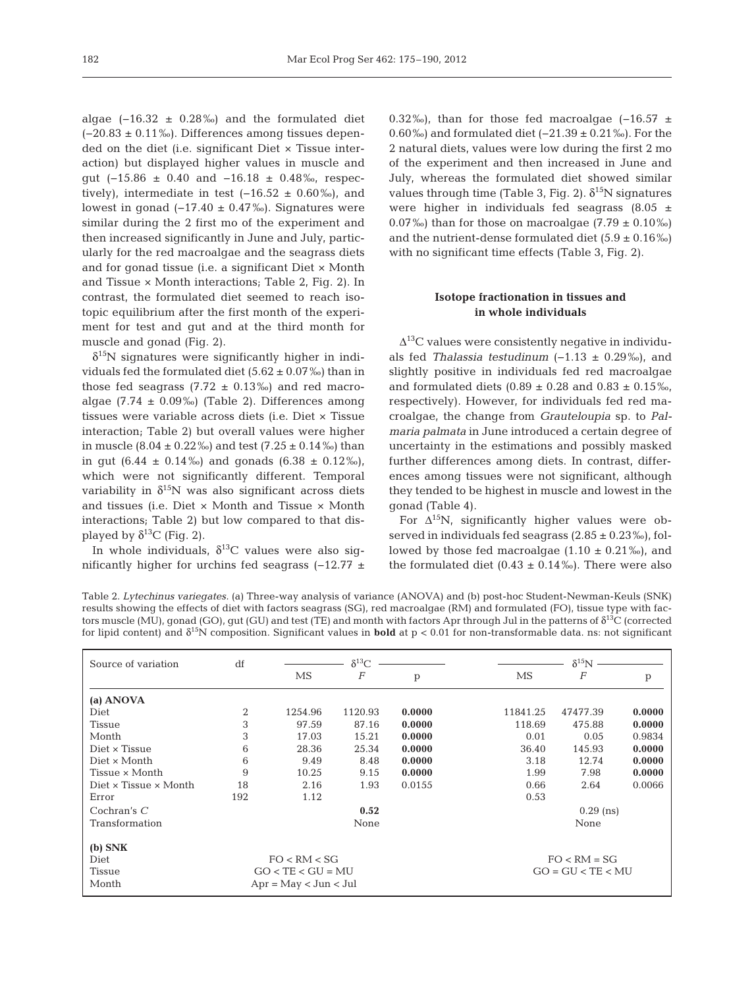algae  $(-16.32 \pm 0.28\%)$  and the formulated diet  $(-20.83 \pm 0.11\%)$ . Differences among tissues depended on the diet (i.e. significant Diet × Tissue inter action) but displayed higher values in muscle and gut (−15.86 ± 0.40 and −16.18 ± 0.48‰, respectively), intermediate in test  $(-16.52 \pm 0.60\%)$ , and lowest in gonad ( $-17.40 \pm 0.47$ ‰). Signatures were similar during the 2 first mo of the experiment and then increased significantly in June and July, particularly for the red macroalgae and the seagrass diets and for gonad tissue (i.e. a significant Diet × Month and Tissue  $\times$  Month interactions; Table 2, Fig. 2). In contrast, the formulated diet seemed to reach isotopic equilibrium after the first month of the experiment for test and gut and at the third month for muscle and gonad (Fig. 2).

 $\delta^{15}$ N signatures were significantly higher in individuals fed the formulated diet  $(5.62 \pm 0.07\%)$  than in those fed seagrass  $(7.72 \pm 0.13\%)$  and red macroalgae (7.74  $\pm$  0.09‰) (Table 2). Differences among tissues were variable across diets (i.e. Diet × Tissue interaction; Table 2) but overall values were higher in muscle  $(8.04 \pm 0.22\%)$  and test  $(7.25 \pm 0.14\%)$  than in gut  $(6.44 \pm 0.14\%)$  and gonads  $(6.38 \pm 0.12\%)$ , which were not significantly different. Temporal variability in  $\delta^{15}N$  was also significant across diets and tissues (i.e. Diet × Month and Tissue × Month interactions; Table 2) but low compared to that displayed by  $\delta^{13}$ C (Fig. 2).

In whole individuals,  $\delta^{13}$ C values were also significantly higher for urchins fed seagrass (−12.77 ± 0.32‰), than for those fed macroalgae  $(-16.57 +$ 0.60‰) and formulated diet (−21.39 ± 0.21‰). For the 2 natural diets, values were low during the first 2 mo of the experiment and then increased in June and July, whereas the formulated diet showed similar values through time (Table 3, Fig. 2).  $\delta^{15}N$  signatures were higher in individuals fed seagrass  $(8.05 \pm$ 0.07‰) than for those on macroalgae  $(7.79 \pm 0.10\%)$ and the nutrient-dense formulated diet  $(5.9 \pm 0.16\%)$ with no significant time effects (Table 3, Fig. 2).

# **Isotope fractionation in tissues and in whole individuals**

 $\Delta^{13}$ C values were consistently negative in individuals fed *Thalassia testudinum* (−1.13 ± 0.29‰), and slightly positive in individuals fed red macroalgae and formulated diets  $(0.89 \pm 0.28$  and  $0.83 \pm 0.15$  %, respectively). However, for individuals fed red ma cro algae, the change from *Grauteloupia* sp. to *Palmaria palmata* in June introduced a certain degree of uncertainty in the estimations and possibly masked further differences among diets. In contrast, differences among tissues were not significant, although they tended to be highest in muscle and lowest in the gonad (Table 4).

For  $\Delta^{15}$ N, significantly higher values were observed in individuals fed seagrass  $(2.85 \pm 0.23\%)$ , followed by those fed macroalgae  $(1.10 \pm 0.21\%)$ , and the formulated diet  $(0.43 \pm 0.14\%)$ . There were also

Table 2. *Lytechinus variegates.* (a) Three-way analysis of variance (ANOVA) and (b) post-hoc Student-Newman-Keuls (SNK) results showing the effects of diet with factors seagrass (SG), red macroalgae (RM) and formulated (FO), tissue type with factors muscle (MU), gonad (GO), gut (GU) and test (TE) and month with factors Apr through Jul in the patterns of  $\delta^{13}C$  (corrected for lipid content) and  $\delta^{15}N$  composition. Significant values in **bold** at  $p < 0.01$  for non-transformable data. ns: not significant

| Source of variation                 | df                  |                         | $\delta^{13}C$ |                     |          | $\delta^{15}N$ |        |  |
|-------------------------------------|---------------------|-------------------------|----------------|---------------------|----------|----------------|--------|--|
|                                     |                     | MS                      | F              | p                   | MS       | F              | p      |  |
| (a) ANOVA                           |                     |                         |                |                     |          |                |        |  |
| Diet                                | $\overline{2}$      | 1254.96                 | 1120.93        | 0.0000              | 11841.25 | 47477.39       | 0.0000 |  |
| Tissue                              | 3                   | 97.59                   | 87.16          | 0.0000              | 118.69   | 475.88         | 0.0000 |  |
| Month                               | 3                   | 17.03                   | 15.21          | 0.0000              | 0.01     | 0.05           | 0.9834 |  |
| Diet x Tissue                       | 6                   | 28.36                   | 25.34          | 0.0000              | 36.40    | 145.93         | 0.0000 |  |
| Diet x Month                        | 6                   | 9.49                    | 8.48           | 0.0000              | 3.18     | 12.74          | 0.0000 |  |
| Tissue x Month                      | 9                   | 10.25                   | 9.15           | 0.0000              | 1.99     | 7.98           | 0.0000 |  |
| Diet $\times$ Tissue $\times$ Month | 18                  | 2.16                    | 1.93           | 0.0155              | 0.66     | 2.64           | 0.0066 |  |
| Error                               | 192                 | 1.12                    |                |                     | 0.53     |                |        |  |
| Cochran's $C$                       |                     |                         | 0.52           |                     |          | $0.29$ (ns)    |        |  |
| Transformation                      |                     |                         | None           |                     |          | None           |        |  |
| $(b)$ SNK                           |                     |                         |                |                     |          |                |        |  |
| Diet                                |                     | FO < RM < SG            |                |                     |          | $FO < RM = SG$ |        |  |
| Tissue                              | $GO < TE < GU = MU$ |                         |                | $GO = GU < TE < MU$ |          |                |        |  |
| Month                               |                     | $Apr = May < Jun < Jul$ |                |                     |          |                |        |  |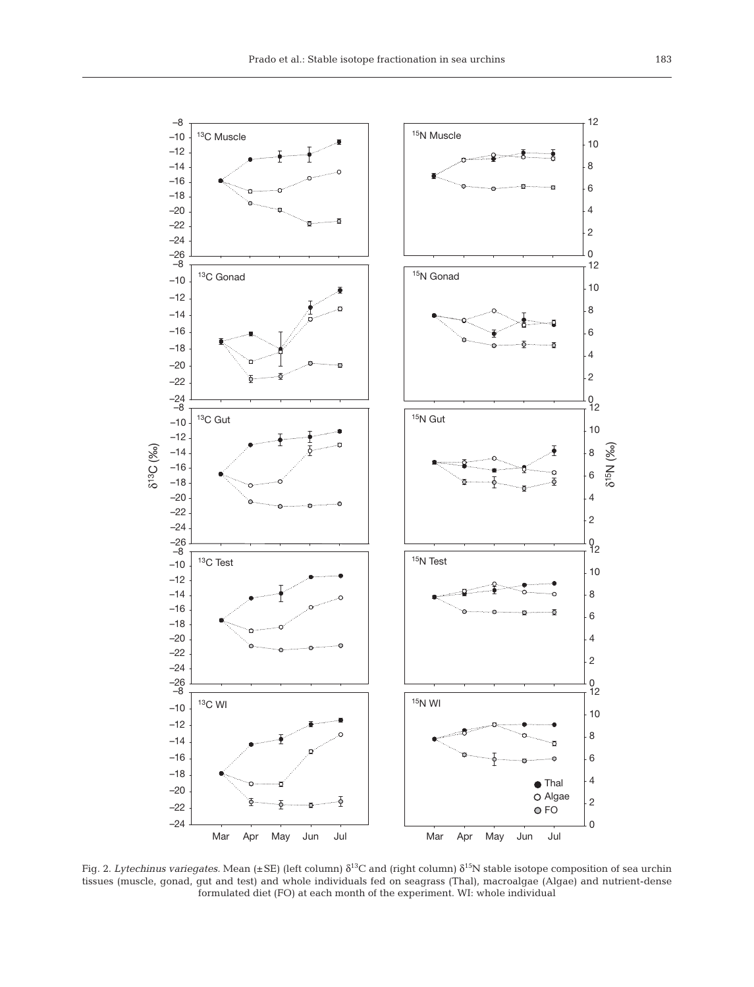

Fig. 2. *Lytechinus variegates.* Mean (±SE) (left column)  $δ$ <sup>13</sup>C and (right column)  $δ$ <sup>15</sup>N stable isotope composition of sea urchin tissues (muscle, gonad, gut and test) and whole individuals fed on seagrass (Thal), macroalgae (Algae) and nutrient-dense formulated diet (FO) at each month of the experiment. WI: whole individual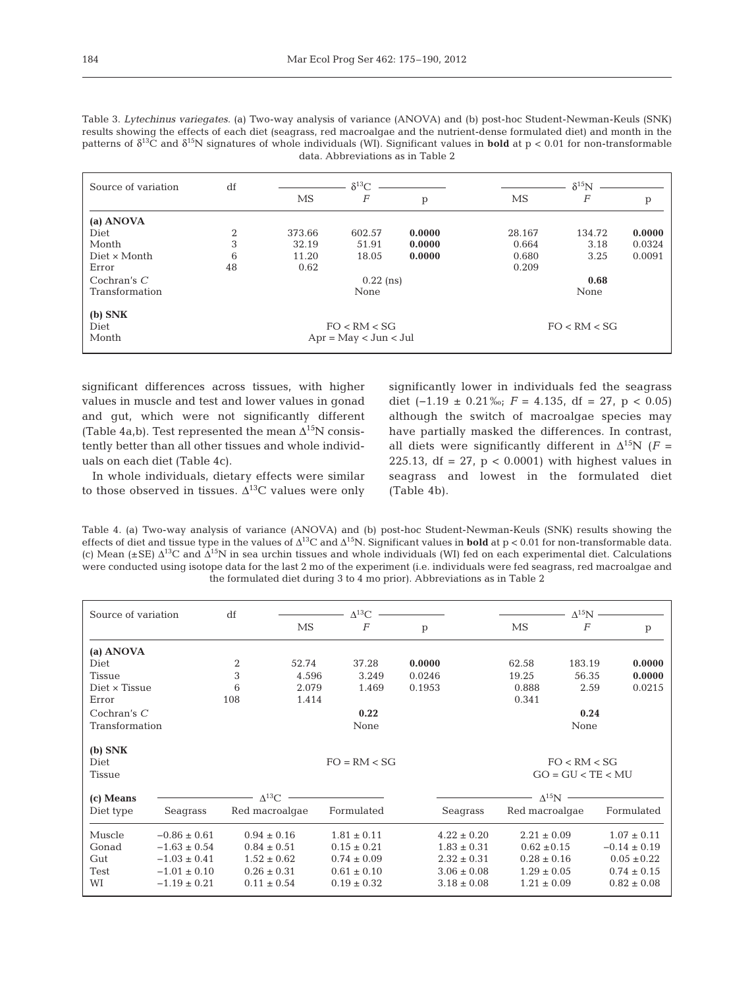| Source of variation | df |              | $\delta^{13}C$          |        |              | $\delta^{15}N$ |        |  |
|---------------------|----|--------------|-------------------------|--------|--------------|----------------|--------|--|
|                     |    | MS           | F                       | p      | MS           | F              | p      |  |
| (a) ANOVA           |    |              |                         |        |              |                |        |  |
| Diet                | 2  | 373.66       | 602.57                  | 0.0000 | 28.167       | 134.72         | 0.0000 |  |
| Month               | 3  | 32.19        | 51.91                   | 0.0000 | 0.664        | 3.18           | 0.0324 |  |
| $Dict \times Month$ | 6  | 11.20        | 18.05                   | 0.0000 | 0.680        | 3.25           | 0.0091 |  |
| Error               | 48 | 0.62         |                         |        | 0.209        |                |        |  |
| Cochran's $C$       |    |              | $0.22$ (ns)             |        |              | 0.68           |        |  |
| Transformation      |    |              | None                    |        |              | None           |        |  |
| $(b)$ SNK           |    |              |                         |        |              |                |        |  |
| Diet                |    | FO < RM < SG |                         |        | FO < RM < SG |                |        |  |
| Month               |    |              | $Apr = May < Jun < Jul$ |        |              |                |        |  |

Table 3. *Lytechinus variegates.* (a) Two-way analysis of variance (ANOVA) and (b) post-hoc Student-Newman-Keuls (SNK) results showing the effects of each diet (seagrass, red macroalgae and the nutrient-dense formulated diet) and month in the patterns of  $\delta^{13}$ C and  $\delta^{15}$ N signatures of whole individuals (WI). Significant values in **bold** at p < 0.01 for non-transformable data. Abbreviations as in Table 2

significant differences across tissues, with higher values in muscle and test and lower values in gonad and gut, which were not significantly different (Table 4a,b). Test represented the mean  $\Delta^{15}N$  consistently better than all other tissues and whole individuals on each diet (Table 4c).

In whole individuals, dietary effects were similar to those observed in tissues.  $\Delta^{13}$ C values were only

significantly lower in individuals fed the seagrass diet  $(-1.19 \pm 0.21\%$ ; *F* = 4.135, df = 27, p < 0.05) although the switch of macroalgae species may have partially masked the differences. In contrast, all diets were significantly different in  $\Delta^{15}N$  (*F* = 225.13, df =  $27$ , p < 0.0001) with highest values in seagrass and lowest in the formulated diet (Table 4b).

Table 4. (a) Two-way analysis of variance (ANOVA) and (b) post-hoc Student-Newman-Keuls (SNK) results showing the effects of diet and tissue type in the values of  $\Delta^{13}C$  and  $\Delta^{15}N$ . Significant values in **bold** at p < 0.01 for non-transformable data. (c) Mean ( $\pm$ SE)  $\Delta^{13}$ C and  $\Delta^{15}$ N in sea urchin tissues and whole individuals (WI) fed on each experimental diet. Calculations were conducted using isotope data for the last 2 mo of the experiment (i.e. individuals were fed seagrass, red macroalgae and the formulated diet during 3 to 4 mo prior). Abbreviations as in Table 2

| Source of variation         |                  | df                        |       | $\Lambda^{13}$ C |        |                 |                    | $\Lambda^{15}$ N -                  |                  |
|-----------------------------|------------------|---------------------------|-------|------------------|--------|-----------------|--------------------|-------------------------------------|------------------|
|                             |                  |                           | MS    | $\overline{F}$   | p      |                 | MS                 | $\overline{F}$                      | p                |
|                             |                  |                           |       |                  |        |                 |                    |                                     |                  |
| (a) ANOVA<br>Diet           |                  |                           | 52.74 | 37.28            | 0.0000 |                 | 62.58              | 183.19                              | 0.0000           |
|                             |                  | 2                         |       |                  |        |                 |                    |                                     |                  |
| Tissue                      |                  | 3                         | 4.596 | 3.249            | 0.0246 |                 | 19.25              | 56.35                               | 0.0000           |
| Diet x Tissue               |                  | 6                         | 2.079 | 1.469            | 0.1953 |                 | 0.888              | 2.59                                | 0.0215           |
| Error                       |                  | 108                       | 1.414 |                  |        |                 | 0.341              |                                     |                  |
| Cochran's $C$               |                  |                           |       | 0.22             |        |                 |                    | 0.24                                |                  |
| Transformation              |                  |                           |       | None             |        |                 |                    | None                                |                  |
|                             |                  |                           |       |                  |        |                 |                    |                                     |                  |
| $(b)$ SNK<br>Diet<br>Tissue |                  |                           |       | $FO = RM < SG$   |        |                 |                    | FO < RM < SG<br>$GO = GU < TE < MU$ |                  |
| (c) Means                   |                  | $\sim$ $\Lambda^{13}$ C – |       |                  |        |                 | $\Lambda^{15}$ N – |                                     |                  |
| Diet type                   | Seagrass         | Red macroalgae            |       | Formulated       |        | Seagrass        | Red macroalgae     |                                     | Formulated       |
| Muscle                      | $-0.86 \pm 0.61$ | $0.94 \pm 0.16$           |       | $1.81 \pm 0.11$  |        | $4.22 \pm 0.20$ | $2.21 \pm 0.09$    |                                     | $1.07 \pm 0.11$  |
| Gonad                       | $-1.63 \pm 0.54$ | $0.84 \pm 0.51$           |       | $0.15 \pm 0.21$  |        | $1.83 \pm 0.31$ | $0.62 \pm 0.15$    |                                     | $-0.14 \pm 0.19$ |
| Gut                         | $-1.03 \pm 0.41$ | $1.52 \pm 0.62$           |       | $0.74 \pm 0.09$  |        | $2.32 \pm 0.31$ | $0.28 \pm 0.16$    |                                     | $0.05 \pm 0.22$  |
| Test                        | $-1.01 \pm 0.10$ | $0.26 \pm 0.31$           |       | $0.61 \pm 0.10$  |        | $3.06 \pm 0.08$ | $1.29 \pm 0.05$    |                                     | $0.74 \pm 0.15$  |
| WI                          | $-1.19 \pm 0.21$ | $0.11 \pm 0.54$           |       | $0.19 \pm 0.32$  |        | $3.18 \pm 0.08$ | $1.21 \pm 0.09$    |                                     | $0.82 \pm 0.08$  |
|                             |                  |                           |       |                  |        |                 |                    |                                     |                  |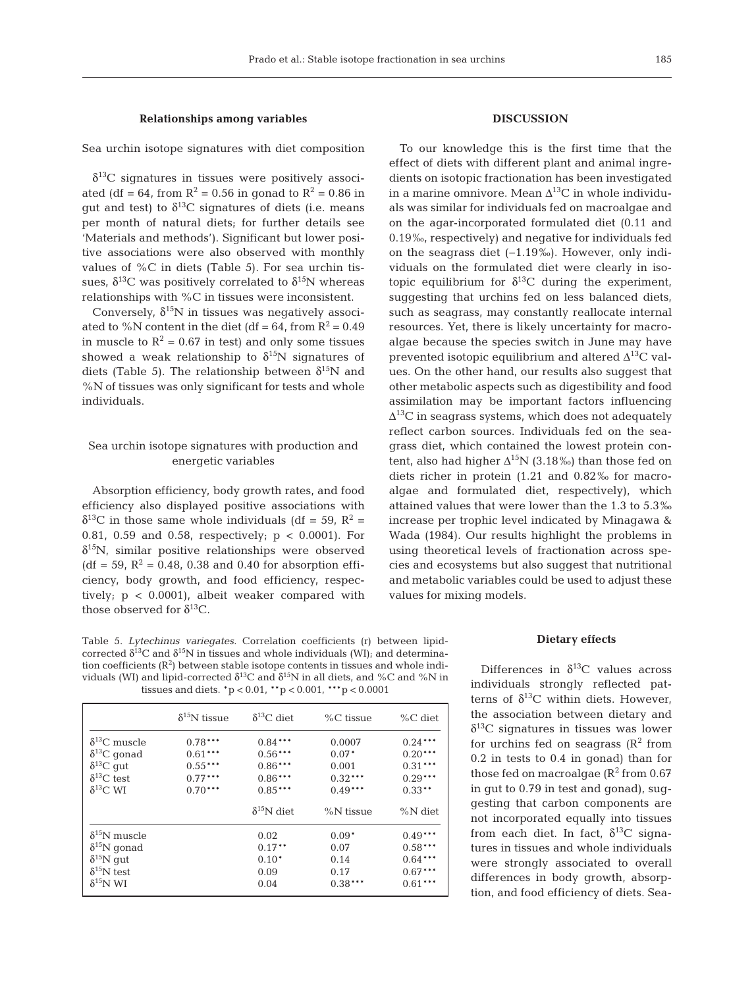#### **Relationships among variables**

Sea urchin isotope signatures with diet composition

 $\delta^{13}$ C signatures in tissues were positively associated (df = 64, from  $R^2 = 0.56$  in gonad to  $R^2 = 0.86$  in gut and test) to  $δ<sup>13</sup>C$  signatures of diets (i.e. means per month of natural diets; for further details see 'Materials and methods'). Significant but lower positive associations were also observed with monthly values of %C in diets (Table 5). For sea urchin tissues,  $\delta^{13}$ C was positively correlated to  $\delta^{15}$ N whereas relationships with %C in tissues were inconsistent.

Conversely,  $\delta^{15}N$  in tissues was negatively associated to %N content in the diet (df = 64, from  $R^2 = 0.49$ in muscle to  $R^2 = 0.67$  in test) and only some tissues showed a weak relationship to  $\delta^{15}N$  signatures of diets (Table 5). The relationship between  $\delta^{15}N$  and %N of tissues was only significant for tests and whole individuals.

# Sea urchin isotope signatures with production and energetic variables

Absorption efficiency, body growth rates, and food efficiency also displayed positive associations with  $\delta^{13}$ C in those same whole individuals (df = 59, R<sup>2</sup> = 0.81, 0.59 and 0.58, respectively; p < 0.0001). For  $\delta^{15}$ N, similar positive relationships were observed (df = 59,  $R^2$  = 0.48, 0.38 and 0.40 for absorption efficiency, body growth, and food efficiency, respectively; p < 0.0001), albeit weaker compared with those observed for  $\delta^{13}$ C.

Table 5. *Lytechinus variegates.* Correlation coefficients (r) between lipidcorrected  $δ<sup>13</sup>C$  and  $δ<sup>15</sup>N$  in tissues and whole individuals (WI); and determination coefficients  $(R^2)$  between stable isotope contents in tissues and whole individuals (WI) and lipid-corrected  $δ<sup>13</sup>C$  and  $δ<sup>15</sup>N$  in all diets, and %C and %N in tissues and diets. \*p < 0.01, \*\*p < 0.001, \*\*\*p < 0.0001

|                        | $\delta^{15}$ N tissue | $\delta^{13}$ C diet | $\%C$ tissue | $\%C$ diet  |
|------------------------|------------------------|----------------------|--------------|-------------|
| $\delta^{13}$ C muscle | $0.78***$              | $0.84***$            | 0.0007       | $0.24***$   |
| $\delta^{13}$ C gonad  | $0.61***$              | $0.56***$            | $0.07*$      | $0.20***$   |
| $\delta^{13}C$ gut     | $0.55***$              | $0.86***$            | 0.001        | $0.31***$   |
| $\delta^{13}$ C test   | $0.77***$              | $0.86***$            | $0.32***$    | $0.29***$   |
| $\delta^{13}$ C WI     | $0.70***$              | $0.85***$            | $0.49***$    | $0.33**$    |
|                        |                        | $\delta^{15}$ N diet | %N tissue    | $\%$ N diet |
| $\delta^{15}$ N muscle |                        | 0.02                 | $0.09*$      | $0.49***$   |
| $\delta^{15}$ N gonad  |                        | $0.17***$            | 0.07         | $0.58***$   |
| $\delta^{15}$ N gut    |                        | $0.10*$              | 0.14         | $0.64***$   |
| $\delta^{15}$ N test   |                        | 0.09                 | 0.17         | $0.67***$   |
| $\delta^{15}$ N WI     |                        | 0.04                 | $0.38***$    | $0.61***$   |

# **DISCUSSION**

To our knowledge this is the first time that the effect of diets with different plant and animal ingredients on isotopic fractionation has been investigated in a marine omnivore. Mean  $\Delta^{13}$ C in whole individuals was similar for individuals fed on macroalgae and on the agar-incorporated formulated diet (0.11 and 0.19‰, respectively) and negative for individuals fed on the seagrass diet (−1.19‰). However, only individuals on the formulated diet were clearly in isotopic equilibrium for  $\delta^{13}$ C during the experiment, suggesting that urchins fed on less balanced diets, such as seagrass, may constantly reallocate internal resources. Yet, there is likely uncertainty for macroalgae because the species switch in June may have prevented isotopic equilibrium and altered  $\Delta^{13}C$  values. On the other hand, our results also suggest that other metabolic aspects such as digestibility and food assimilation may be important factors influencing  $\Delta^{13}$ C in seagrass systems, which does not adequately reflect carbon sources. Individuals fed on the seagrass diet, which contained the lowest protein content, also had higher  $\Delta^{15}N$  (3.18‰) than those fed on diets richer in protein (1.21 and 0.82‰ for macroalgae and formulated diet, respectively), which attained values that were lower than the 1.3 to 5.3‰ increase per trophic level indicated by Minagawa & Wada (1984). Our results highlight the problems in using theoretical levels of fractionation across species and ecosystems but also suggest that nutritional and metabolic variables could be used to adjust these values for mixing models.

#### **Dietary effects**

Differences in  $\delta^{13}$ C values across individuals strongly reflected patterns of  $\delta^{13}$ C within diets. However, the association between dietary and  $\delta^{13}$ C signatures in tissues was lower for urchins fed on seagrass  $(R^2$  from 0.2 in tests to 0.4 in gonad) than for those fed on macroalgae  $(R^2$  from 0.67 in gut to 0.79 in test and gonad), suggesting that carbon components are not incorporated equally into tissues from each diet. In fact,  $\delta^{13}$ C signatures in tissues and whole individuals were strongly associated to overall differences in body growth, absorption, and food efficiency of diets. Sea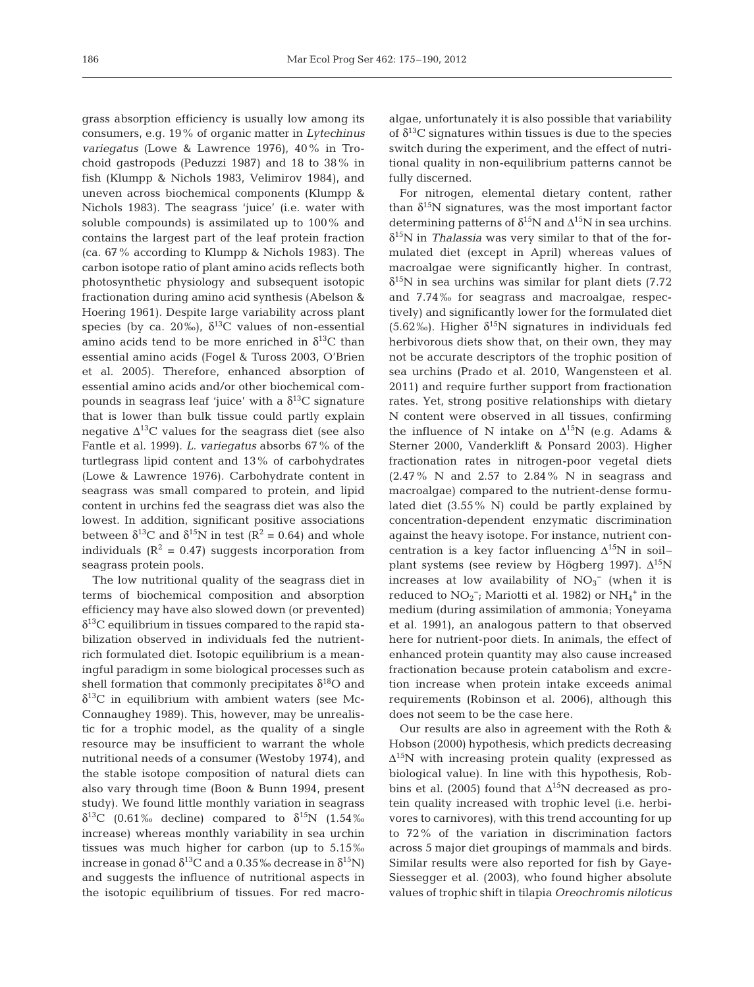grass absorption efficiency is usually low among its consumers, e.g. 19% of organic matter in *Lytechinus variegatus* (Lowe & Lawrence 1976), 40% in Trochoid gastropods (Peduzzi 1987) and 18 to 38% in fish (Klumpp & Nichols 1983, Velimirov 1984), and uneven across biochemical components (Klumpp & Nichols 1983). The seagrass 'juice' (i.e. water with soluble compounds) is assimilated up to 100% and contains the largest part of the leaf protein fraction (ca. 67% according to Klumpp & Nichols 1983). The carbon isotope ratio of plant amino acids reflects both photosynthetic physiology and subsequent isotopic fractionation during amino acid synthesis (Abelson & Hoering 1961). Despite large variability across plant species (by ca. 20‰),  $\delta^{13}C$  values of non-essential amino acids tend to be more enriched in  $\delta^{13}$ C than essential amino acids (Fogel & Tuross 2003, O'Brien et al. 2005). Therefore, enhanced absorption of essential amino acids and/or other biochemical compounds in seagrass leaf 'juice' with a  $\delta^{13}$ C signature that is lower than bulk tissue could partly explain negative  $\Delta^{13}$ C values for the seagrass diet (see also Fantle et al. 1999). *L. variegatus* absorbs 67% of the turtlegrass lipid content and 13% of carbohydrates (Lowe & Lawrence 1976). Carbohydrate content in seagrass was small compared to protein, and lipid content in urchins fed the seagrass diet was also the lowest. In addition, significant positive associations between  $\delta^{13}$ C and  $\delta^{15}$ N in test (R<sup>2</sup> = 0.64) and whole individuals ( $\mathbb{R}^2 = 0.47$ ) suggests incorporation from seagrass protein pools.

The low nutritional quality of the seagrass diet in terms of biochemical composition and absorption efficiency may have also slowed down (or prevented)  $\delta^{13}$ C equilibrium in tissues compared to the rapid stabilization observed in individuals fed the nutrientrich formulated diet. Isotopic equilibrium is a meaningful paradigm in some biological processes such as shell formation that commonly precipitates  $\delta^{18}$ O and  $\delta^{13}$ C in equilibrium with ambient waters (see Mc-Connaughey 1989). This, however, may be unrealistic for a trophic model, as the quality of a single resource may be insufficient to warrant the whole nutritional needs of a consumer (Westoby 1974), and the stable isotope composition of natural diets can also vary through time (Boon & Bunn 1994, present study). We found little monthly variation in seagrass δ<sup>13</sup>C (0.61‰ decline) compared to  $\delta^{15}$ N (1.54‰ increase) whereas monthly variability in sea urchin tissues was much higher for carbon (up to 5.15‰ increase in gonad  $\delta^{13}$ C and a 0.35% decrease in  $\delta^{15}$ N) and suggests the influence of nutritional aspects in the isotopic equilibrium of tissues. For red macroalgae, unfortunately it is also possible that variability of  $\delta^{13}$ C signatures within tissues is due to the species switch during the experiment, and the effect of nutritional quality in non-equilibrium patterns cannot be fully discerned.

For nitrogen, elemental dietary content, rather than  $\delta^{15}N$  signatures, was the most important factor determining patterns of  $\delta^{15}N$  and  $\Delta^{15}N$  in sea urchins. δ15N in *Thalassia* was very similar to that of the formulated diet (except in April) whereas values of macroalgae were significantly higher. In contrast,  $\delta^{15}$ N in sea urchins was similar for plant diets (7.72) and 7.74‰ for seagrass and macroalgae, respectively) and significantly lower for the formulated diet (5.62‰). Higher  $\delta^{15}N$  signatures in individuals fed herbivorous diets show that, on their own, they may not be accurate descriptors of the trophic position of sea urchins (Prado et al. 2010, Wangensteen et al. 2011) and require further support from fractionation rates. Yet, strong positive relationships with dietary N content were observed in all tissues, confirming the influence of N intake on  $\Delta^{15}N$  (e.g. Adams & Sterner 2000, Vanderklift & Ponsard 2003). Higher fractionation rates in nitrogen-poor vegetal diets (2.47% N and 2.57 to 2.84% N in seagrass and macroalgae) compared to the nutrient-dense formulated diet (3.55% N) could be partly explained by concentration-dependent enzymatic discrimination against the heavy isotope. For instance, nutrient concentration is a key factor influencing  $\Delta^{15}$ N in soil– plant systems (see review by Högberg 1997).  $\Delta^{15}N$ increases at low availability of  $NO<sub>3</sub><sup>-</sup>$  (when it is reduced to  $NO_2^-$ ; Mariotti et al. 1982) or  $NH_4^+$  in the medium (during assimilation of ammonia; Yoneyama et al. 1991), an analogous pattern to that observed here for nutrient-poor diets. In animals, the effect of enhanced protein quantity may also cause increased fractionation because protein catabolism and excretion increase when protein intake exceeds animal requirements (Robinson et al. 2006), although this does not seem to be the case here.

Our results are also in agreement with the Roth & Hobson (2000) hypothesis, which predicts decreasing  $\Delta^{15}$ N with increasing protein quality (expressed as biological value). In line with this hypothesis, Robbins et al. (2005) found that  $\Delta^{15}N$  decreased as protein quality increased with trophic level (i.e. herbivores to carnivores), with this trend accounting for up to 72% of the variation in discrimination factors across 5 major diet groupings of mammals and birds. Similar results were also reported for fish by Gaye-Siessegger et al. (2003), who found higher absolute values of trophic shift in tilapia *Oreochromis niloticus*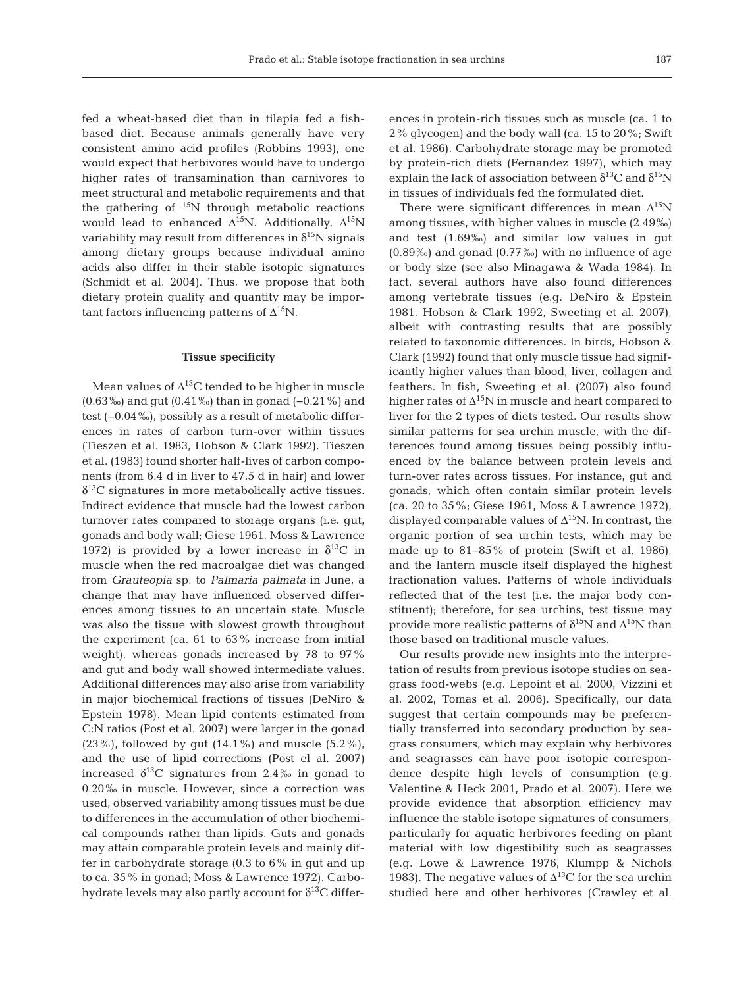fed a wheat-based diet than in tilapia fed a fishbased diet. Because animals generally have very consistent amino acid profiles (Robbins 1993), one would expect that herbivores would have to undergo higher rates of transamination than carnivores to meet structural and metabolic requirements and that the gathering of  $15N$  through metabolic reactions would lead to enhanced  $\Delta^{15}N$ . Additionally,  $\Delta^{15}N$ variability may result from differences in  $\delta^{15}N$  signals among dietary groups because individual amino acids also differ in their stable isotopic signatures (Schmidt et al. 2004). Thus, we propose that both dietary protein quality and quantity may be important factors influencing patterns of  $\Delta^{15}N$ .

## **Tissue specificity**

Mean values of  $\Delta^{13}$ C tended to be higher in muscle (0.63‰) and gut (0.41‰) than in gonad (−0.21%) and test (−0.04‰), possibly as a result of metabolic differences in rates of carbon turn-over within tissues (Tieszen et al. 1983, Hobson & Clark 1992). Tieszen et al. (1983) found shorter half-lives of carbon components (from 6.4 d in liver to 47.5 d in hair) and lower  $\delta^{13}$ C signatures in more metabolically active tissues. Indirect evidence that muscle had the lowest carbon turnover rates compared to storage organs (i.e. gut, gonads and body wall; Giese 1961, Moss & Lawrence 1972) is provided by a lower increase in  $\delta^{13}$ C in muscle when the red macroalgae diet was changed from *Grauteopia* sp. to *Palmaria palmata* in June, a change that may have influenced observed differences among tissues to an uncertain state. Muscle was also the tissue with slowest growth throughout the experiment (ca. 61 to 63% increase from initial weight), whereas gonads increased by 78 to 97% and gut and body wall showed intermediate values. Additional differences may also arise from variability in major biochemical fractions of tissues (DeNiro & Epstein 1978). Mean lipid contents estimated from C:N ratios (Post et al. 2007) were larger in the gonad  $(23\%)$ , followed by gut  $(14.1\%)$  and muscle  $(5.2\%)$ , and the use of lipid corrections (Post el al. 2007) increased  $\delta^{13}$ C signatures from 2.4‰ in gonad to 0.20‰ in muscle. However, since a correction was used, observed variability among tissues must be due to differences in the accumulation of other biochemical compounds rather than lipids. Guts and gonads may attain comparable protein levels and mainly differ in carbo hydrate storage  $(0.3 \text{ to } 6\% \text{ in} \text{ gut} \text{ and up})$ to ca. 35% in gonad; Moss & Lawrence 1972). Carbohydrate levels may also partly account for  $\delta^{13}$ C differences in protein-rich tissues such as muscle (ca. 1 to 2% glycogen) and the body wall (ca. 15 to 20%; Swift et al. 1986). Carbohydrate storage may be promoted by protein-rich diets (Fernandez 1997), which may explain the lack of association between  $\delta^{13}$ C and  $\delta^{15}$ N in tissues of individuals fed the formulated diet.

There were significant differences in mean  $\Delta^{15}N$ among tissues, with higher values in muscle (2.49‰) and test (1.69‰) and similar low values in gut (0.89‰) and gonad (0.77‰) with no influence of age or body size (see also Minagawa & Wada 1984). In fact, several authors have also found differences among vertebrate tissues (e.g. DeNiro & Epstein 1981, Hobson & Clark 1992, Sweeting et al. 2007), albeit with contrasting results that are possibly related to taxonomic differences. In birds, Hobson & Clark (1992) found that only muscle tissue had significantly higher values than blood, liver, collagen and feathers. In fish, Sweeting et al. (2007) also found higher rates of  $\Delta^{15}N$  in muscle and heart compared to liver for the 2 types of diets tested. Our results show similar patterns for sea urchin muscle, with the differences found among tissues being possibly influenced by the balance between protein levels and turn-over rates across tissues. For instance, gut and gonads, which often contain similar protein levels (ca. 20 to 35%; Giese 1961, Moss & Lawrence 1972), displayed comparable values of  $\Delta^{15}N$ . In contrast, the organic portion of sea urchin tests, which may be made up to 81−85% of protein (Swift et al. 1986), and the lantern muscle itself displayed the highest fractionation values. Patterns of whole individuals reflected that of the test (i.e. the major body constituent); therefore, for sea urchins, test tissue may provide more realistic patterns of  $\delta^{15}N$  and  $\Delta^{15}N$  than those based on traditional muscle values.

Our results provide new insights into the interpretation of results from previous isotope studies on seagrass food-webs (e.g. Lepoint et al. 2000, Vizzini et al. 2002, Tomas et al. 2006). Specifically, our data suggest that certain compounds may be preferentially transferred into secondary production by seagrass consumers, which may explain why herbivores and seagrasses can have poor isotopic correspondence despite high levels of consumption (e.g. Valentine & Heck 2001, Prado et al. 2007). Here we provide evidence that absorption efficiency may influence the stable isotope signatures of consumers, particularly for aquatic herbivores feeding on plant material with low digestibility such as seagrasses (e.g. Lowe & Lawrence 1976, Klumpp & Nichols 1983). The negative values of  $\Delta^{13}$ C for the sea urchin studied here and other herbivores (Crawley et al.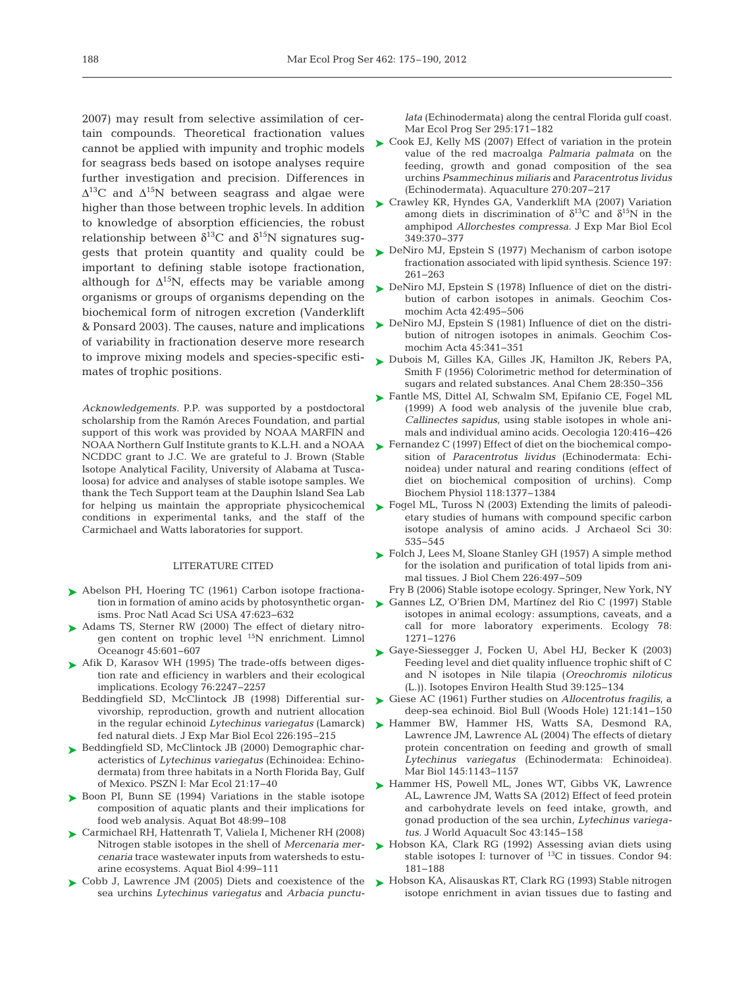2007) may result from selective assimilation of certain compounds. Theoretical fractionation values cannot be applied with impunity and trophic models for seagrass beds based on isotope analyses require further investigation and precision. Differences in  $\Delta^{13}C$  and  $\Delta^{15}N$  between seagrass and algae were higher than those between trophic levels. In addition to knowledge of absorption efficiencies, the robust relationship between  $\delta^{13}$ C and  $\delta^{15}$ N signatures suggests that protein quantity and quality could be important to defining stable isotope fractionation, although for  $\Delta^{15}N$ , effects may be variable among organisms or groups of organisms depending on the biochemical form of nitrogen excretion (Vanderklift & Ponsard 2003). The causes, nature and implications of variability in fractionation deserve more research to improve mixing models and species-specific estimates of trophic positions.

*Acknowledgements.* P.P. was supported by a postdoctoral scholarship from the Ramón Areces Foundation, and partial support of this work was provided by NOAA MARFIN and NOAA Northern Gulf Institute grants to K.L.H. and a NOAA NCDDC grant to J.C. We are grateful to J. Brown (Stable Isotope Analytical Facility, University of Alabama at Tusca loosa) for advice and analyses of stable isotope samples. We thank the Tech Support team at the Dauphin Island Sea Lab for helping us maintain the appropriate physicochemical conditions in experimental tanks, and the staff of the Carmichael and Watts laboratories for support.

#### LITERATURE CITED

- ▶ Abelson PH, Hoering TC (1961) Carbon isotope fractionation in formation of amino acids by photosynthetic organisms. Proc Natl Acad Sci USA 47:623-632
- ► Adams TS, Sterner RW (2000) The effect of dietary nitrogen content on trophic level 15N enrichment. Limnol Oceanogr 45:601-607
- ▶ Afik D, Karasov WH (1995) The trade-offs between digestion rate and efficiency in warblers and their ecological implications. Ecology 76: 2247−2257
	- Beddingfield SD, McClintock JB (1998) Differential survivorship, reproduction, growth and nutrient allocation in the regular echinoid *Lytechinus variegatus* (Lamarck) fed natural diets. J Exp Mar Biol Ecol 226:195–215
- ► Beddingfield SD, McClintock JB (2000) Demographic characteristics of *Lytechinus variegatus* (Echinoidea: Echinodermata) from three habitats in a North Florida Bay, Gulf of Mexico. PSZN I: Mar Ecol 21:17-40
- ▶ Boon PI, Bunn SE (1994) Variations in the stable isotope composition of aquatic plants and their implications for food web analysis. Aquat Bot 48:99-108
- Carmichael RH, Hattenrath T, Valiela I, Michener RH (2008) ➤ Nitrogen stable isotopes in the shell of *Mercenaria mercenaria* trace wastewater inputs from watersheds to estuarine ecosystems. Aquat Biol 4: 99−111
- ► Cobb J, Lawrence JM (2005) Diets and coexistence of the sea urchins *Lytechinus variegatus* and *Arbacia punctu-*

*lata* (Echinodermata) along the central Florida gulf coast. Mar Ecol Prog Ser 295: 171−182

- ► Cook EJ, Kelly MS (2007) Effect of variation in the protein value of the red macroalga *Palmaria palmata* on the feeding, growth and gonad composition of the sea urchins *Psammechinus miliaris* and *Paracentrotus lividus* (Echinodermata). Aquaculture 270: 207−217
- ► Crawley KR, Hyndes GA, Vanderklift MA (2007) Variation among diets in discrimination of  $\delta^{13}$ C and  $\delta^{15}$ N in the amphipod *Allorchestes compressa.* J Exp Mar Biol Ecol 349: 370−377
- ► DeNiro MJ, Epstein S (1977) Mechanism of carbon isotope fractionation associated with lipid synthesis. Science 197: 261−263
- ▶ DeNiro MJ, Epstein S (1978) Influence of diet on the distribution of carbon isotopes in animals. Geochim Cosmochim Acta 42: 495−506
- ► DeNiro MJ, Epstein S (1981) Influence of diet on the distribution of nitrogen isotopes in animals. Geochim Cosmochim Acta 45: 341−351
- ► Dubois M, Gilles KA, Gilles JK, Hamilton JK, Rebers PA, Smith F (1956) Colorimetric method for determination of sugars and related substances. Anal Chem 28:350-356
- Fantle MS, Dittel AI, Schwalm SM, Epifanio CE, Fogel ML ➤ (1999) A food web analysis of the juvenile blue crab, *Callinectes sapidus*, using stable isotopes in whole animals and individual amino acids. Oecologia 120:416−426
- ► Fernandez C (1997) Effect of diet on the biochemical composition of *Paracentrotus lividus* (Echinodermata: Echinoidea) under natural and rearing conditions (effect of diet on biochemical composition of urchins). Comp Biochem Physiol 118: 1377−1384
- ► Fogel ML, Tuross N (2003) Extending the limits of paleodietary studies of humans with compound specific carbon isotope analysis of amino acids. J Archaeol Sci 30: 535−545
- ► Folch J, Lees M, Sloane Stanley GH (1957) A simple method for the isolation and purification of total lipids from animal tissues. J Biol Chem 226: 497−509
- Fry B (2006) Stable isotope ecology. Springer, New York, NY
- Gannes LZ, O'Brien DM, Martínez del Rio C (1997) Stable ➤ isotopes in animal ecology: assumptions, caveats, and a call for more laboratory experiments. Ecology 78: 1271−1276
- Gaye-Siessegger J, Focken U, Abel HJ, Becker K (2003) ➤ Feeding level and diet quality influence trophic shift of C and N isotopes in Nile tilapia (*Oreochromis niloticus* (L.)). Isotopes Environ Health Stud 39: 125−134
- Giese AC (1961) Further studies on *Allocentrotus fragilis*, a ➤ deep-sea echinoid. Biol Bull (Woods Hole) 121: 141−150
- ▶ Hammer BW, Hammer HS, Watts SA, Desmond RA, Lawrence JM, Lawrence AL (2004) The effects of dietary protein concentration on feeding and growth of small Lytechinus variegatus (Echinodermata: Echinoidea). Mar Biol 145: 1143−1157
- ▶ Hammer HS, Powell ML, Jones WT, Gibbs VK, Lawrence AL, Lawrence JM, Watts SA (2012) Effect of feed protein and carbohydrate levels on feed intake, growth, and gonad production of the sea urchin, *Lytechinus variegatus.* J World Aquacult Soc 43: 145−158
- ► Hobson KA, Clark RG (1992) Assessing avian diets using stable isotopes I: turnover of  $^{13}C$  in tissues. Condor 94: 181−188
- ► Hobson KA, Alisauskas RT, Clark RG (1993) Stable nitrogen isotope enrichment in avian tissues due to fasting and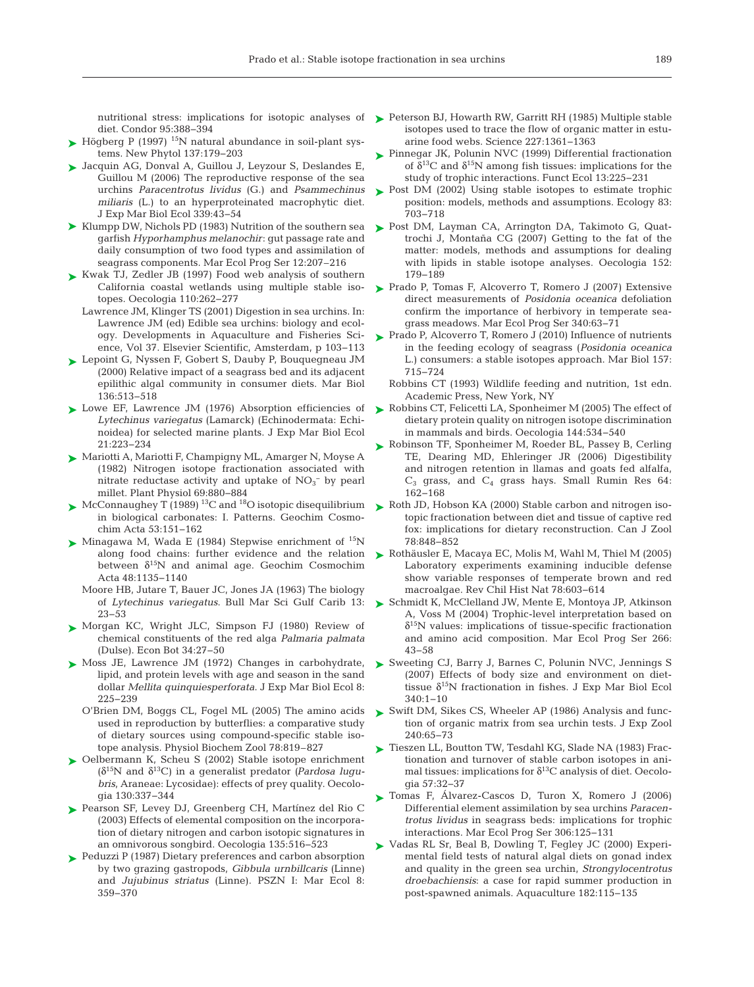diet. Condor 95: 388−394

- $\blacktriangleright$  Högberg P (1997) <sup>15</sup>N natural abundance in soil-plant systems. New Phytol 137: 179−203
- ► Jacquin AG, Donval A, Guillou J, Leyzour S, Deslandes E, Guillou M (2006) The reproductive response of the sea urchins *Paracentrotus lividus* (G.) and *Psammechinus miliaris* (L.) to an hyperproteinated macrophytic diet. J Exp Mar Biol Ecol 339: 43−54
- ▶ Klumpp DW, Nichols PD (1983) Nutrition of the southern sea garfish *Hyporhamphus melanochir*: gut passage rate and daily consumption of two food types and assimilation of seagrass components. Mar Ecol Prog Ser 12:207–216
- Kwak TJ, Zedler JB (1997) Food web analysis of southern ➤ California coastal wetlands using multiple stable isotopes. Oecologia 110: 262−277
	- Lawrence JM, Klinger TS (2001) Digestion in sea urchins. In: Lawrence JM (ed) Edible sea urchins: biology and ecology. Developments in Aquaculture and Fisheries Science, Vol 37. Elsevier Scientific, Amsterdam, p 103−113
- Lepoint G, Nyssen F, Gobert S, Dauby P, Bouquegneau JM ➤ (2000) Relative impact of a seagrass bed and its adjacent epilithic algal community in consumer diets. Mar Biol 136: 513−518
- ► Lowe EF, Lawrence JM (1976) Absorption efficiencies of Lytechinus variegatus (Lamarck) (Echinodermata: Echinoidea) for selected marine plants. J Exp Mar Biol Ecol 21: 223−234
- Mariotti A, Mariotti F, Champigny ML, Amarger N, Moyse A ➤ (1982) Nitrogen isotope fractionation associated with nitrate reductase activity and uptake of  $NO<sub>3</sub><sup>-</sup>$  by pearl millet. Plant Physiol 69: 880−884
- $\blacktriangleright$  McConnaughey T (1989)<sup>13</sup>C and <sup>18</sup>O isotopic disequilibrium in biological carbonates: I. Patterns. Geochim Cosmochim Acta 53: 151−162
- Minagawa M, Wada E (1984) Stepwise enrichment of  $^{15}N$ along food chains: further evidence and the relation between  $\delta^{15}N$  and animal age. Geochim Cosmochim Acta 48: 1135−1140
	- Moore HB, Jutare T, Bauer JC, Jones JA (1963) The biology of *Lytechinus variegatus*. Bull Mar Sci Gulf Carib 13: 23−53
- ▶ Morgan KC, Wright JLC, Simpson FJ (1980) Review of chemical constituents of the red alga *Palmaria palmata* (Dulse). Econ Bot 34: 27−50
- ► Moss JE, Lawrence JM (1972) Changes in carbohydrate, lipid, and protein levels with age and season in the sand dollar *Mellita quinquiesperforata*. J Exp Mar Biol Ecol 8: 225−239
	- O'Brien DM, Boggs CL, Fogel ML (2005) The amino acids used in reproduction by butterflies: a comparative study of dietary sources using compound-specific stable isotope analysis. Physiol Biochem Zool 78:819–827
- ► Oelbermann K, Scheu S (2002) Stable isotope enrichment (δ15N and δ13C) in a generalist predator *(Pardosa lugu*  bris, Araneae: Lycosidae): effects of prey quality. Oecologia 130: 337−344
- ▶ Pearson SF, Levey DJ, Greenberg CH, Martínez del Rio C (2003) Effects of elemental composition on the incorporation of dietary nitrogen and carbon isotopic signatures in an omnivorous songbird. Oecologia 135:516-523
- ► Peduzzi P (1987) Dietary preferences and carbon absorption by two grazing gastropods, *Gibbula urnbillcaris* (Linne) and *Jujubinus striatus* (Linne). PSZN I: Mar Ecol 8: 359−370
- nutritional stress: implications for isotopic analyses of  $\blacktriangleright$  Peterson BJ, Howarth RW, Garritt RH (1985) Multiple stable isotopes used to trace the flow of organic matter in estuarine food webs. Science 227: 1361−1363
	- ► Pinnegar JK, Polunin NVC (1999) Differential fractionation of  $\delta^{13}$ C and  $\delta^{15}$ N among fish tissues: implications for the study of trophic interactions. Funct Ecol 13: 225−231
	- ▶ Post DM (2002) Using stable isotopes to estimate trophic position: models, methods and assumptions. Ecology 83: 703−718
	- ▶ Post DM, Layman CA, Arrington DA, Takimoto G, Quattrochi J, Montaña CG (2007) Getting to the fat of the matter: models, methods and assumptions for dealing with lipids in stable isotope analyses. Oecologia 152: 179−189
	- ► Prado P, Tomas F, Alcoverro T, Romero J (2007) Extensive direct measurements of *Posidonia oceanica* defoliation confirm the importance of herbivory in temperate seagrass meadows. Mar Ecol Prog Ser 340:63-71
	- ► Prado P, Alcoverro T, Romero J (2010) Influence of nutrients in the feeding ecology of seagrass (*Posidonia oceanica* L.) consumers: a stable isotopes approach. Mar Biol 157: 715−724
		- Robbins CT (1993) Wildlife feeding and nutrition, 1st edn. Academic Press, New York, NY
	- ► Robbins CT, Felicetti LA, Sponheimer M (2005) The effect of dietary protein quality on nitrogen isotope discrimination in mammals and birds. Oecologia 144: 534−540
	- ► Robinson TF, Sponheimer M, Roeder BL, Passey B, Cerling TE, Dearing MD, Ehleringer JR (2006) Digestibility and nitrogen retention in llamas and goats fed alfalfa,  $C_3$  grass, and  $C_4$  grass hays. Small Rumin Res 64: 162−168
	- Roth JD, Hobson KA (2000) Stable carbon and nitrogen iso-➤ topic fractionation between diet and tissue of captive red fox: implications for dietary reconstruction. Can J Zool 78: 848−852
	- Rothäusler E, Macaya EC, Molis M, Wahl M, Thiel M (2005) ➤ Laboratory experiments examining inducible defense show variable responses of temperate brown and red macroalgae. Rev Chil Hist Nat 78:603-614
	- Schmidt K, McClelland JW, Mente E, Montoya JP, Atkinson ➤ A, Voss M (2004) Trophic-level interpretation based on  $\delta^{15}$ N values: implications of tissue-specific fractionation and amino acid composition. Mar Ecol Prog Ser 266: 43−58
	- ▶ Sweeting CJ, Barry J, Barnes C, Polunin NVC, Jennings S (2007) Effects of body size and environment on diettissue  $\delta^{15}N$  fractionation in fishes. J Exp Mar Biol Ecol 340: 1−10
	- ► Swift DM, Sikes CS, Wheeler AP (1986) Analysis and function of organic matrix from sea urchin tests. J Exp Zool 240: 65−73
	- Tieszen LL, Boutton TW, Tesdahl KG, Slade NA (1983) Frac-➤ tionation and turnover of stable carbon isotopes in animal tissues: implications for  $\delta^{13}$ C analysis of diet. Oecologia 57: 32−37
	- Tomas F, Álvarez-Cascos D, Turon X, Romero J (2006) ➤ Differential element assimilation by sea urchins *Paracentrotus lividus* in seagrass beds: implications for trophic interactions. Mar Ecol Prog Ser 306: 125−131
	- ► Vadas RL Sr, Beal B, Dowling T, Fegley JC (2000) Experimental field tests of natural algal diets on gonad index and quality in the green sea urchin, *Strongylocentrotus droebachiensis*:a case for rapid summer production in post-spawned animals. Aquaculture 182: 115−135